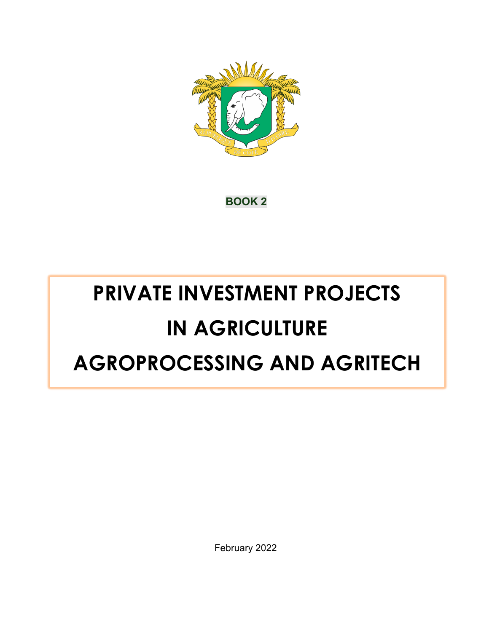

**BOOK 2**

# **PRIVATE INVESTMENT PROJECTS IN AGRICULTURE AGROPROCESSING AND AGRITECH**

February 2022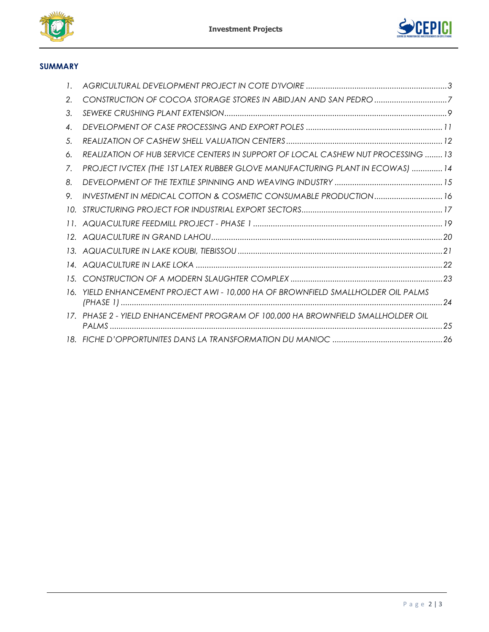



## **SUMMARY**

| 2.              |                                                                                  |    |
|-----------------|----------------------------------------------------------------------------------|----|
| 3.              |                                                                                  |    |
| 4.              |                                                                                  |    |
| 5.              |                                                                                  |    |
| 6.              | REALIZATION OF HUB SERVICE CENTERS IN SUPPORT OF LOCAL CASHEW NUT PROCESSING  13 |    |
| 7.              | PROJECT IVCTEX (THE 1ST LATEX RUBBER GLOVE MANUFACTURING PLANT IN ECOWAS)  14    |    |
| 8.              |                                                                                  |    |
| 9.              | INVESTMENT IN MEDICAL COTTON & COSMETIC CONSUMABLE PRODUCTION 16                 |    |
| 10.             |                                                                                  |    |
| 11.             |                                                                                  |    |
| 12 <sub>1</sub> |                                                                                  |    |
| 13.             |                                                                                  |    |
| 14.             |                                                                                  |    |
| 1.5.            |                                                                                  |    |
| 16.             | YIELD ENHANCEMENT PROJECT AWI - 10,000 HA OF BROWNFIELD SMALLHOLDER OIL PALMS    | 24 |
| 17              | PHASE 2 - YIELD ENHANCEMENT PROGRAM OF 100,000 HA BROWNFIELD SMALLHOLDER OIL     |    |
|                 |                                                                                  |    |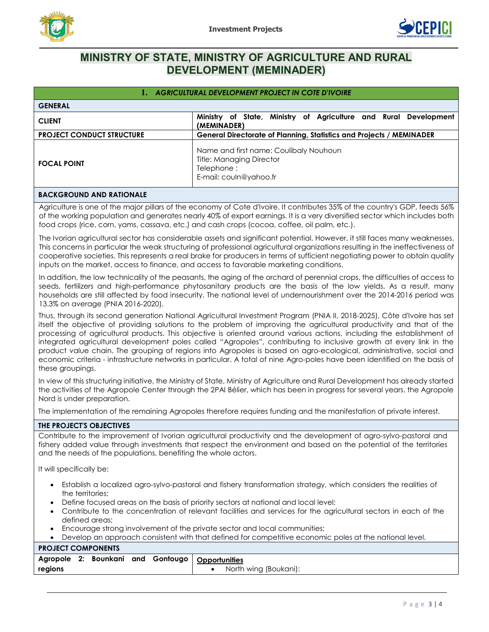



# <span id="page-2-0"></span>**MINISTRY OF STATE, MINISTRY OF AGRICULTURE AND RURAL DEVELOPMENT (MEMINADER)**

|                                  | 1. AGRICULTURAL DEVELOPMENT PROJECT IN COTE D'IVOIRE                                                              |
|----------------------------------|-------------------------------------------------------------------------------------------------------------------|
| <b>GENERAL</b>                   |                                                                                                                   |
| <b>CLIENT</b>                    | of State, Ministry of Agriculture and Rural Development<br>Ministry<br>(MEMINADER)                                |
| <b>PROJECT CONDUCT STRUCTURE</b> | <b>General Directorate of Planning, Statistics and Projects / MEMINADER</b>                                       |
| <b>FOCAL POINT</b>               | Name and first name: Coulibaly Nouhoun<br><b>Title: Managing Director</b><br>Telephone:<br>E-mail: couln@yahoo.fr |

#### **BACKGROUND AND RATIONALE**

Agriculture is one of the major pillars of the economy of Cote d'Ivoire. It contributes 35% of the country's GDP, feeds 56% of the working population and generates nearly 40% of export earnings. It is a very diversified sector which includes both food crops (rice, corn, yams, cassava, etc.) and cash crops (cocoa, coffee, oil palm, etc.).

The Ivorian agricultural sector has considerable assets and significant potential. However, it still faces many weaknesses. This concerns in particular the weak structuring of professional agricultural organizations resulting in the ineffectiveness of cooperative societies. This represents a real brake for producers in terms of sufficient negotiating power to obtain quality inputs on the market, access to finance, and access to favorable marketing conditions.

In addition, the low technicality of the peasants, the aging of the orchard of perennial crops, the difficulties of access to seeds, fertilizers and high-performance phytosanitary products are the basis of the low yields. As a result, many households are still affected by food insecurity. The national level of undernourishment over the 2014-2016 period was 13.3% on average (PNIA 2016-2020).

Thus, through its second generation National Agricultural Investment Program (PNIA II, 2018-2025), Côte d'Ivoire has set itself the objective of providing solutions to the problem of improving the agricultural productivity and that of the processing of agricultural products. This objective is oriented around various actions, including the establishment of integrated agricultural development poles called "Agropoles", contributing to inclusive growth at every link in the product value chain. The grouping of regions into Agropoles is based on agro-ecological, administrative, social and economic criteria - infrastructure networks in particular. A total of nine Agro-poles have been identified on the basis of these groupings.

In view of this structuring initiative, the Ministry of State, Ministry of Agriculture and Rural Development has already started the activities of the Agropole Center through the 2PAI Bélier, which has been in progress for several years. the Agropole Nord is under preparation.

The implementation of the remaining Agropoles therefore requires funding and the manifestation of private interest.

#### **THE PROJECT'S OBJECTIVES**

Contribute to the improvement of Ivorian agricultural productivity and the development of agro-sylvo-pastoral and fishery added value through investments that respect the environment and based on the potential of the territories and the needs of the populations, benefiting the whole actors.

It will specifically be:

- Establish a localized agro-sylvo-pastoral and fishery transformation strategy, which considers the realities of the territories;
- Define focused areas on the basis of priority sectors at national and local level;
- Contribute to the concentration of relevant facilities and services for the agricultural sectors in each of the defined areas;
- Encourage strong involvement of the private sector and local communities;

| <b>PROJECT COMPONENTS</b> |  |  |                                                   |
|---------------------------|--|--|---------------------------------------------------|
|                           |  |  | Agropole 2: Bounkani and Gontougo   Opportunities |
| regions                   |  |  | North wing (Boukani):                             |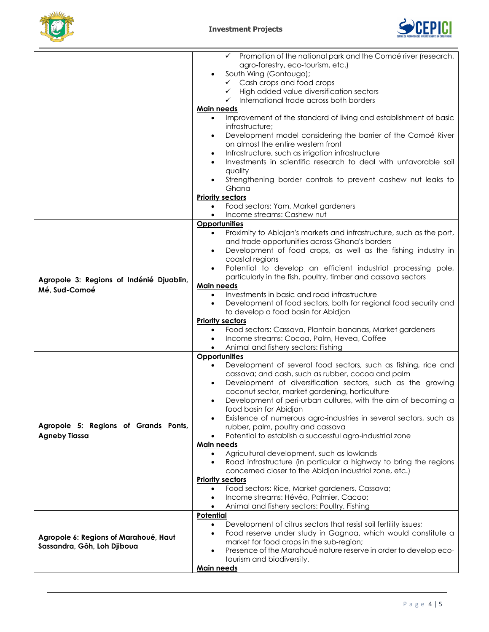



|                                          | $\checkmark$ Promotion of the national park and the Comoé river (research,<br>agro-forestry, eco-tourism, etc.)<br>South Wing (Gontougo);<br>$\checkmark$ Cash crops and food crops<br>High added value diversification sectors<br>$\checkmark$<br>International trade across both borders<br>$\checkmark$<br>Main needs<br>Improvement of the standard of living and establishment of basic |
|------------------------------------------|----------------------------------------------------------------------------------------------------------------------------------------------------------------------------------------------------------------------------------------------------------------------------------------------------------------------------------------------------------------------------------------------|
|                                          | infrastructure;<br>Development model considering the barrier of the Comoé River<br>$\bullet$<br>on almost the entire western front                                                                                                                                                                                                                                                           |
|                                          | Infrastructure, such as irrigation infrastructure<br>٠<br>Investments in scientific research to deal with unfavorable soil                                                                                                                                                                                                                                                                   |
|                                          | quality<br>Strengthening border controls to prevent cashew nut leaks to<br>Ghana                                                                                                                                                                                                                                                                                                             |
|                                          | <b>Priority sectors</b>                                                                                                                                                                                                                                                                                                                                                                      |
|                                          | Food sectors: Yam, Market gardeners<br>$\bullet$<br>Income streams: Cashew nut                                                                                                                                                                                                                                                                                                               |
|                                          | Opportunities                                                                                                                                                                                                                                                                                                                                                                                |
|                                          | Proximity to Abidjan's markets and infrastructure, such as the port,<br>and trade opportunities across Ghana's borders<br>Development of food crops, as well as the fishing industry in<br>$\bullet$                                                                                                                                                                                         |
| Agropole 3: Regions of Indénié Djuablin, | coastal regions<br>Potential to develop an efficient industrial processing pole,<br>$\bullet$<br>particularly in the fish, poultry, timber and cassava sectors                                                                                                                                                                                                                               |
|                                          | Main needs                                                                                                                                                                                                                                                                                                                                                                                   |
| Mé, Sud-Comoé                            | Investments in basic and road infrastructure<br>$\bullet$                                                                                                                                                                                                                                                                                                                                    |
|                                          | Development of food sectors, both for regional food security and<br>$\bullet$<br>to develop a food basin for Abidjan                                                                                                                                                                                                                                                                         |
|                                          | <b>Priority sectors</b>                                                                                                                                                                                                                                                                                                                                                                      |
|                                          | Food sectors: Cassava, Plantain bananas, Market gardeners<br>$\bullet$                                                                                                                                                                                                                                                                                                                       |
|                                          | Income streams: Cocoa, Palm, Hevea, Coffee                                                                                                                                                                                                                                                                                                                                                   |
|                                          | Animal and fishery sectors: Fishing<br>$\bullet$                                                                                                                                                                                                                                                                                                                                             |
|                                          | <b>Opportunities</b>                                                                                                                                                                                                                                                                                                                                                                         |
|                                          | Development of several food sectors, such as fishing, rice and<br>$\bullet$                                                                                                                                                                                                                                                                                                                  |
|                                          | cassava; and cash, such as rubber, cocoa and palm                                                                                                                                                                                                                                                                                                                                            |
|                                          |                                                                                                                                                                                                                                                                                                                                                                                              |
|                                          | Development of diversification sectors, such as the growing<br>$\bullet$<br>coconut sector, market gardening, horticulture<br>Development of peri-urban cultures, with the aim of becoming a                                                                                                                                                                                                 |
|                                          | food basin for Abidjan                                                                                                                                                                                                                                                                                                                                                                       |
|                                          | Existence of numerous agro-industries in several sectors, such as                                                                                                                                                                                                                                                                                                                            |
| Agropole 5: Regions of Grands Ponts,     | rubber, palm, poultry and cassava                                                                                                                                                                                                                                                                                                                                                            |
| <b>Agneby Tiassa</b>                     | Potential to establish a successful agro-industrial zone                                                                                                                                                                                                                                                                                                                                     |
|                                          | <u>Main needs</u>                                                                                                                                                                                                                                                                                                                                                                            |
|                                          | Agricultural development, such as lowlands                                                                                                                                                                                                                                                                                                                                                   |
|                                          | Road infrastructure (in particular a highway to bring the regions                                                                                                                                                                                                                                                                                                                            |
|                                          | concerned closer to the Abidjan industrial zone, etc.)                                                                                                                                                                                                                                                                                                                                       |
|                                          | <b>Priority sectors</b>                                                                                                                                                                                                                                                                                                                                                                      |
|                                          | Food sectors: Rice, Market gardeners, Cassava;<br>$\bullet$                                                                                                                                                                                                                                                                                                                                  |
|                                          | Income streams: Hévéa, Palmier, Cacao;<br>$\bullet$                                                                                                                                                                                                                                                                                                                                          |
|                                          | Animal and fishery sectors: Poultry, Fishing                                                                                                                                                                                                                                                                                                                                                 |
|                                          | <b>Potential</b>                                                                                                                                                                                                                                                                                                                                                                             |
|                                          | Development of citrus sectors that resist soil fertility issues;                                                                                                                                                                                                                                                                                                                             |
| Agropole 6: Regions of Marahoué, Haut    | Food reserve under study in Gagnoa, which would constitute a<br>$\bullet$                                                                                                                                                                                                                                                                                                                    |
| Sassandra, Gôh, Loh Djiboua              | market for food crops in the sub-region;                                                                                                                                                                                                                                                                                                                                                     |
|                                          | Presence of the Marahoué nature reserve in order to develop eco-<br>$\bullet$                                                                                                                                                                                                                                                                                                                |
|                                          | tourism and biodiversity.                                                                                                                                                                                                                                                                                                                                                                    |
|                                          | Main needs                                                                                                                                                                                                                                                                                                                                                                                   |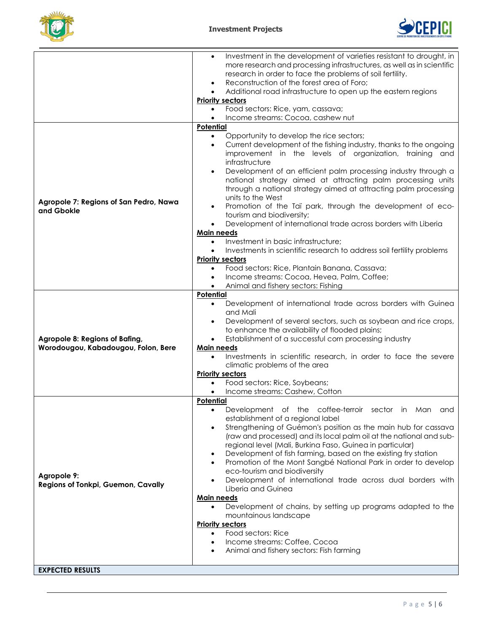



|                                                                       | Investment in the development of varieties resistant to drought, in<br>more research and processing infrastructures, as well as in scientific<br>research in order to face the problems of soil fertility.<br>Reconstruction of the forest area of Foro;<br>Additional road infrastructure to open up the eastern regions<br>$\bullet$<br><b>Priority sectors</b><br>Food sectors: Rice, yam, cassava;<br>$\bullet$<br>Income streams: Cocoa, cashew nut                                                                                                                                                                                                                                                                                                                                                                                                                                  |
|-----------------------------------------------------------------------|-------------------------------------------------------------------------------------------------------------------------------------------------------------------------------------------------------------------------------------------------------------------------------------------------------------------------------------------------------------------------------------------------------------------------------------------------------------------------------------------------------------------------------------------------------------------------------------------------------------------------------------------------------------------------------------------------------------------------------------------------------------------------------------------------------------------------------------------------------------------------------------------|
|                                                                       | <b>Potential</b>                                                                                                                                                                                                                                                                                                                                                                                                                                                                                                                                                                                                                                                                                                                                                                                                                                                                          |
| Agropole 7: Regions of San Pedro, Nawa<br>and Gbokle                  | Opportunity to develop the rice sectors;<br>$\bullet$<br>Current development of the fishing industry, thanks to the ongoing<br>$\bullet$<br>improvement in the levels of organization, training and<br>infrastructure<br>Development of an efficient palm processing industry through a<br>$\bullet$<br>national strategy aimed at attracting palm processing units<br>through a national strategy aimed at attracting palm processing<br>units to the West<br>Promotion of the Taï park, through the development of eco-<br>tourism and biodiversity;<br>Development of international trade across borders with Liberia<br>$\bullet$                                                                                                                                                                                                                                                     |
|                                                                       | Main needs                                                                                                                                                                                                                                                                                                                                                                                                                                                                                                                                                                                                                                                                                                                                                                                                                                                                                |
|                                                                       | Investment in basic infrastructure;<br>$\bullet$<br>Investments in scientific research to address soil fertility problems<br>$\bullet$<br><b>Priority sectors</b>                                                                                                                                                                                                                                                                                                                                                                                                                                                                                                                                                                                                                                                                                                                         |
|                                                                       | Food sectors: Rice, Plantain Banana, Cassava;<br>$\bullet$                                                                                                                                                                                                                                                                                                                                                                                                                                                                                                                                                                                                                                                                                                                                                                                                                                |
|                                                                       | Income streams: Cocoa, Hevea, Palm, Coffee;<br>$\bullet$                                                                                                                                                                                                                                                                                                                                                                                                                                                                                                                                                                                                                                                                                                                                                                                                                                  |
|                                                                       | Animal and fishery sectors: Fishing                                                                                                                                                                                                                                                                                                                                                                                                                                                                                                                                                                                                                                                                                                                                                                                                                                                       |
|                                                                       | <b>Potential</b>                                                                                                                                                                                                                                                                                                                                                                                                                                                                                                                                                                                                                                                                                                                                                                                                                                                                          |
| Agropole 8: Regions of Bafing,<br>Worodougou, Kabadougou, Folon, Bere | Development of international trade across borders with Guinea<br>and Mali<br>Development of several sectors, such as soybean and rice crops,<br>to enhance the availability of flooded plains;<br>Establishment of a successful corn processing industry<br>$\bullet$<br><b>Main needs</b><br>Investments in scientific research, in order to face the severe<br>climatic problems of the area<br><b>Priority sectors</b><br>Food sectors: Rice, Soybeans;<br>$\bullet$<br>Income streams: Cashew, Cotton                                                                                                                                                                                                                                                                                                                                                                                 |
|                                                                       | Potential                                                                                                                                                                                                                                                                                                                                                                                                                                                                                                                                                                                                                                                                                                                                                                                                                                                                                 |
| Agropole 9:<br>Regions of Tonkpi, Guemon, Cavally                     | Development of the coffee-terroir sector in Man<br>and<br>$\bullet$<br>establishment of a regional label<br>Strengthening of Guémon's position as the main hub for cassava<br>$\bullet$<br>(raw and processed) and its local palm oil at the national and sub-<br>regional level (Mali, Burkina Faso, Guinea in particular)<br>Development of fish farming, based on the existing fry station<br>$\bullet$<br>Promotion of the Mont Sangbé National Park in order to develop<br>eco-tourism and biodiversity<br>Development of international trade across dual borders with<br>Liberia and Guinea<br><b>Main needs</b><br>Development of chains, by setting up programs adapted to the<br>$\bullet$<br>mountainous landscape<br><b>Priority sectors</b><br>Food sectors: Rice<br>$\bullet$<br>Income streams: Coffee, Cocoa<br>$\bullet$<br>Animal and fishery sectors: Fish farming<br>٠ |
| <b>EXPECTED RESULTS</b>                                               |                                                                                                                                                                                                                                                                                                                                                                                                                                                                                                                                                                                                                                                                                                                                                                                                                                                                                           |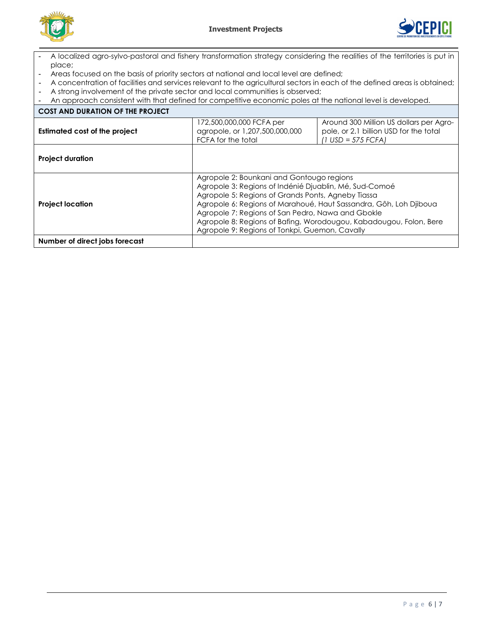



- A localized agro-sylvo-pastoral and fishery transformation strategy considering the realities of the territories is put in place;
- Areas focused on the basis of priority sectors at national and local level are defined;
- A concentration of facilities and services relevant to the agricultural sectors in each of the defined areas is obtained;<br>- A strong involvement of the private sector and local communities is observed;
- A strong involvement of the private sector and local communities is observed;
- An approach consistent with that defined for competitive economic poles at the national level is developed.

| <b>COST AND DURATION OF THE PROJECT</b> |                                                                                                                                                                                                                                                                  |                                                                                                                                         |
|-----------------------------------------|------------------------------------------------------------------------------------------------------------------------------------------------------------------------------------------------------------------------------------------------------------------|-----------------------------------------------------------------------------------------------------------------------------------------|
| Estimated cost of the project           | 172,500,000,000 FCFA per<br>agropole, or 1,207,500,000,000<br>FCFA for the total                                                                                                                                                                                 | Around 300 Million US dollars per Agro-<br>pole, or 2.1 billion USD for the total<br>$(1 \text{ USD} = 575 \text{ FCFA})$               |
| <b>Project duration</b>                 |                                                                                                                                                                                                                                                                  |                                                                                                                                         |
| <b>Project location</b>                 | Agropole 2: Bounkani and Gontougo regions<br>Agropole 3: Regions of Indénié Djuablin, Mé, Sud-Comoé<br>Agropole 5: Regions of Grands Ponts, Agneby Tiassa<br>Agropole 7: Regions of San Pedro, Nawa and Gbokle<br>Agropole 9: Regions of Tonkpi, Guemon, Cavally | Agropole 6: Regions of Marahoué, Haut Sassandra, Gôh, Loh Djiboua<br>Agropole 8: Regions of Bafing, Worodougou, Kabadougou, Folon, Bere |
| Number of direct jobs forecast          |                                                                                                                                                                                                                                                                  |                                                                                                                                         |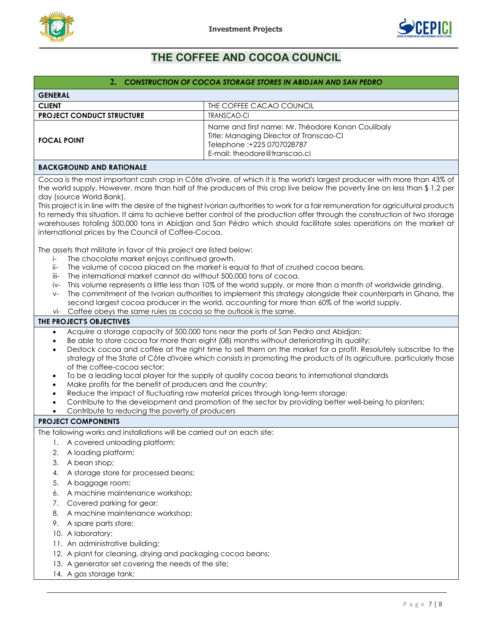



# <span id="page-6-0"></span>**THE COFFEE AND COCOA COUNCIL**

|                                                                                                                                                                                                                                                                                                                                                                                                                                                                                                                                                                                                      | 2. CONSTRUCTION OF COCOA STORAGE STORES IN ABIDJAN AND SAN PEDRO                                                                                                                                                                                                                                                                                                                                                                                                                                                                                                                                                                                                                                                           |
|------------------------------------------------------------------------------------------------------------------------------------------------------------------------------------------------------------------------------------------------------------------------------------------------------------------------------------------------------------------------------------------------------------------------------------------------------------------------------------------------------------------------------------------------------------------------------------------------------|----------------------------------------------------------------------------------------------------------------------------------------------------------------------------------------------------------------------------------------------------------------------------------------------------------------------------------------------------------------------------------------------------------------------------------------------------------------------------------------------------------------------------------------------------------------------------------------------------------------------------------------------------------------------------------------------------------------------------|
| <b>GENERAL</b>                                                                                                                                                                                                                                                                                                                                                                                                                                                                                                                                                                                       |                                                                                                                                                                                                                                                                                                                                                                                                                                                                                                                                                                                                                                                                                                                            |
| <b>CLIENT</b>                                                                                                                                                                                                                                                                                                                                                                                                                                                                                                                                                                                        | THE COFFEE CACAO COUNCIL                                                                                                                                                                                                                                                                                                                                                                                                                                                                                                                                                                                                                                                                                                   |
| <b>PROJECT CONDUCT STRUCTURE</b>                                                                                                                                                                                                                                                                                                                                                                                                                                                                                                                                                                     | <b>TRANSCAO-CI</b>                                                                                                                                                                                                                                                                                                                                                                                                                                                                                                                                                                                                                                                                                                         |
| <b>FOCAL POINT</b>                                                                                                                                                                                                                                                                                                                                                                                                                                                                                                                                                                                   | Name and first name: Mr. Théodore Konan Coulibaly<br>Title: Managing Director of Transcao-CI<br>Telephone :+225 0707028787<br>E-mail: theodore@transcao.ci                                                                                                                                                                                                                                                                                                                                                                                                                                                                                                                                                                 |
| <b>BACKGROUND AND RATIONALE</b>                                                                                                                                                                                                                                                                                                                                                                                                                                                                                                                                                                      |                                                                                                                                                                                                                                                                                                                                                                                                                                                                                                                                                                                                                                                                                                                            |
| day (source World Bank).<br>international prices by the Council of Coffee-Cocoa.                                                                                                                                                                                                                                                                                                                                                                                                                                                                                                                     | Cocoa is the most important cash crop in Côte d'Ivoire, of which it is the world's largest producer with more than 43% of<br>the world supply. However, more than half of the producers of this crop live below the poverty line on less than \$1.2 per<br>This project is in line with the desire of the highest Ivorian authorities to work for a fair remuneration for agricultural products<br>to remedy this situation. It aims to achieve better control of the production offer through the construction of two storage<br>warehouses totaling 500,000 tons in Abidjan and San Pédro which should facilitate sales operations on the market at                                                                      |
| The assets that militate in favor of this project are listed below:<br>The chocolate market enjoys continued growth.<br>j-<br>ii-<br>The international market cannot do without 500,000 tons of cocoa.<br>iii-<br>İV-<br>$V -$<br>Coffee obeys the same rules as cocoa so the outlook is the same.<br>vi-                                                                                                                                                                                                                                                                                            | The volume of cocoa placed on the market is equal to that of crushed cocoa beans.<br>This volume represents a little less than 10% of the world supply, or more than a month of worldwide grinding.<br>The commitment of the Ivorian authorities to implement this strategy alongside their counterparts in Ghana, the<br>second largest cocoa producer in the world, accounting for more than 60% of the world supply.                                                                                                                                                                                                                                                                                                    |
| THE PROJECT'S OBJECTIVES                                                                                                                                                                                                                                                                                                                                                                                                                                                                                                                                                                             |                                                                                                                                                                                                                                                                                                                                                                                                                                                                                                                                                                                                                                                                                                                            |
| $\bullet$<br>$\bullet$<br>$\bullet$<br>of the coffee-cocoa sector;<br>$\bullet$<br>Make profits for the benefit of producers and the country;<br>Contribute to reducing the poverty of producers                                                                                                                                                                                                                                                                                                                                                                                                     | Acquire a storage capacity of 500,000 tons near the ports of San Pedro and Abidjan;<br>Be able to store cocoa for more than eight (08) months without deteriorating its quality;<br>Destock cocoa and coffee at the right time to sell them on the market for a profit. Resolutely subscribe to the<br>strategy of the State of Côte d'Ivoire which consists in promoting the products of its agriculture, particularly those<br>To be a leading local player for the supply of quality cocoa beans to international standards<br>Reduce the impact of fluctuating raw material prices through long-term storage;<br>Contribute to the development and promotion of the sector by providing better well-being to planters; |
| <b>PROJECT COMPONENTS</b>                                                                                                                                                                                                                                                                                                                                                                                                                                                                                                                                                                            |                                                                                                                                                                                                                                                                                                                                                                                                                                                                                                                                                                                                                                                                                                                            |
| The following works and installations will be carried out on each site:<br>A covered unloading platform;<br>1.<br>2.<br>A loading platform;<br>A bean shop;<br>3.<br>A storage store for processed beans;<br>4.<br>5.<br>A baggage room;<br>A machine maintenance workshop;<br>6.<br>Covered parking for gear;<br>7.<br>A machine maintenance workshop;<br>8.<br>A spare parts store;<br>9.<br>10. A laboratory;<br>11. An administrative building;<br>12. A plant for cleaning, drying and packaging cocoa beans;<br>13. A generator set covering the needs of the site;<br>14. A gas storage tank; |                                                                                                                                                                                                                                                                                                                                                                                                                                                                                                                                                                                                                                                                                                                            |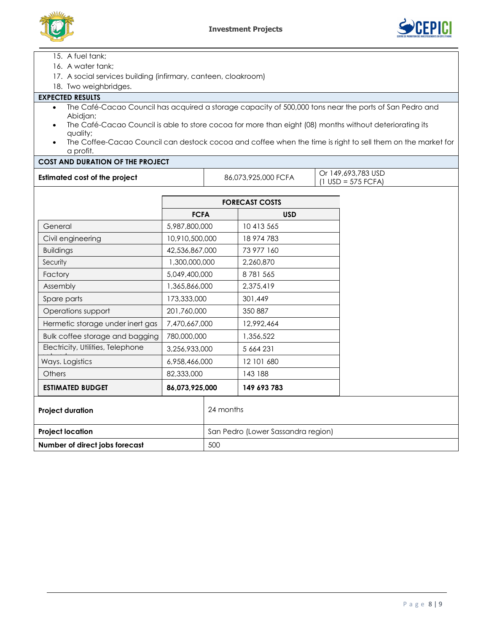



15. A fuel tank;

- 16. A water tank;
- 17. A social services building (infirmary, canteen, cloakroom)
- 18. Two weighbridges.

## **EXPECTED RESULTS**

- The Café-Cacao Council has acquired a storage capacity of 500,000 tons near the ports of San Pedro and Abidjan;
- The Café-Cacao Council is able to store cocoa for more than eight (08) months without deteriorating its quality;
- The Coffee-Cacao Council can destock cocoa and coffee when the time is right to sell them on the market for a profit.

## **COST AND DURATION OF THE PROJECT**

| <b>Estimated cost of the project</b> | 86,073,925,000 FCFA | Or 149,693,783 USD<br>$(1 \text{ USD} = 575 \text{ FCFA})$ |
|--------------------------------------|---------------------|------------------------------------------------------------|

|                                                    | <b>FORECAST COSTS</b>              |           |             |  |  |
|----------------------------------------------------|------------------------------------|-----------|-------------|--|--|
|                                                    | <b>FCFA</b>                        |           | <b>USD</b>  |  |  |
| 5,987,800,000<br>General                           |                                    |           | 10 413 565  |  |  |
| Civil engineering                                  | 10,910,500,000                     |           | 18 974 783  |  |  |
| <b>Buildings</b>                                   | 42,536,867,000                     |           | 73 977 160  |  |  |
| Security                                           | 1,300,000,000                      |           | 2,260,870   |  |  |
| Factory                                            | 5,049,400,000                      |           | 8781565     |  |  |
| Assembly                                           | 1,365,866,000                      |           | 2,375,419   |  |  |
| Spare parts                                        | 173,333,000                        |           | 301,449     |  |  |
| Operations support                                 | 201,760,000                        |           | 350 887     |  |  |
| Hermetic storage under inert gas                   | 7,470,667,000                      |           | 12,992,464  |  |  |
| Bulk coffee storage and bagging                    | 780,000,000                        |           | 1,356,522   |  |  |
| Electricity, Utilities, Telephone<br>3,256,933,000 |                                    |           | 5 664 231   |  |  |
| Ways. Logistics                                    | 6,958,466,000                      |           | 12 101 680  |  |  |
| <b>Others</b>                                      | 82,333,000                         |           | 143 188     |  |  |
| <b>ESTIMATED BUDGET</b>                            | 86,073,925,000                     |           | 149 693 783 |  |  |
| <b>Project duration</b>                            |                                    | 24 months |             |  |  |
| <b>Project location</b>                            | San Pedro (Lower Sassandra region) |           |             |  |  |
| Number of direct jobs forecast                     |                                    | 500       |             |  |  |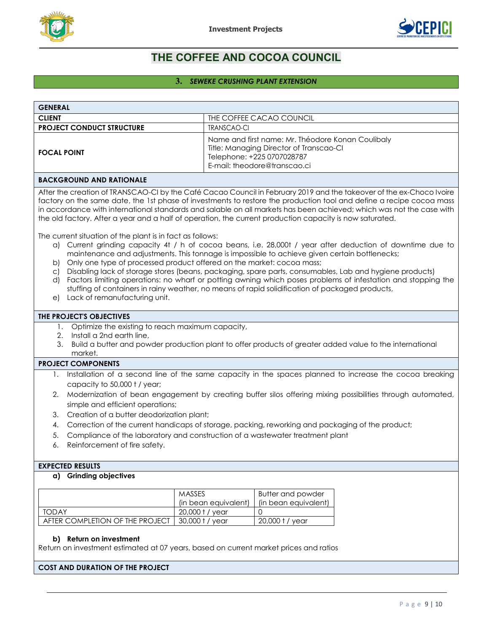



# **THE COFFEE AND COCOA COUNCIL**

#### **3.** *SEWEKE CRUSHING PLANT EXTENSION*

<span id="page-8-0"></span>

| <b>GENERAL</b>                                                                                                                                                                                                                                                                                                                                                                                                                                                                                                                                                                                                                                                                                                                                |                      |                                                                                                                                                            |  |
|-----------------------------------------------------------------------------------------------------------------------------------------------------------------------------------------------------------------------------------------------------------------------------------------------------------------------------------------------------------------------------------------------------------------------------------------------------------------------------------------------------------------------------------------------------------------------------------------------------------------------------------------------------------------------------------------------------------------------------------------------|----------------------|------------------------------------------------------------------------------------------------------------------------------------------------------------|--|
| <b>CLIENT</b>                                                                                                                                                                                                                                                                                                                                                                                                                                                                                                                                                                                                                                                                                                                                 |                      | THE COFFEE CACAO COUNCIL                                                                                                                                   |  |
| <b>PROJECT CONDUCT STRUCTURE</b>                                                                                                                                                                                                                                                                                                                                                                                                                                                                                                                                                                                                                                                                                                              | <b>TRANSCAO-CI</b>   |                                                                                                                                                            |  |
| <b>FOCAL POINT</b>                                                                                                                                                                                                                                                                                                                                                                                                                                                                                                                                                                                                                                                                                                                            |                      | Name and first name: Mr. Théodore Konan Coulibaly<br>Title: Managing Director of Transcao-CI<br>Telephone: +225 0707028787<br>E-mail: theodore@transcao.ci |  |
| <b>BACKGROUND AND RATIONALE</b>                                                                                                                                                                                                                                                                                                                                                                                                                                                                                                                                                                                                                                                                                                               |                      |                                                                                                                                                            |  |
| After the creation of TRANSCAO-CI by the Café Cacao Council in February 2019 and the takeover of the ex-Choco Ivoire<br>factory on the same date, the 1st phase of investments to restore the production tool and define a recipe cocoa mass<br>in accordance with international standards and salable on all markets has been achieved; which was not the case with<br>the old factory. After a year and a half of operation, the current production capacity is now saturated.                                                                                                                                                                                                                                                              |                      |                                                                                                                                                            |  |
| The current situation of the plant is in fact as follows:<br>a) Current grinding capacity 4t / h of cocoa beans, i.e. 28,000t / year after deduction of downtime due to<br>maintenance and adjustments. This tonnage is impossible to achieve given certain bottlenecks;<br>Only one type of processed product offered on the market: cocoa mass;<br>b)<br>Disabling lack of storage stores (beans, packaging, spare parts, consumables, Lab and hygiene products)<br>$\circ$<br>Factors limiting operations: no wharf or potting awning which poses problems of infestation and stopping the<br>d)<br>stuffing of containers in rainy weather, no means of rapid solidification of packaged products,<br>Lack of remanufacturing unit.<br>e) |                      |                                                                                                                                                            |  |
| THE PROJECT'S OBJECTIVES                                                                                                                                                                                                                                                                                                                                                                                                                                                                                                                                                                                                                                                                                                                      |                      |                                                                                                                                                            |  |
| 1. Optimize the existing to reach maximum capacity,<br>Install a 2nd earth line,<br>2.<br>3.<br>Build a butter and powder production plant to offer products of greater added value to the international<br>market.                                                                                                                                                                                                                                                                                                                                                                                                                                                                                                                           |                      |                                                                                                                                                            |  |
| <b>PROJECT COMPONENTS</b>                                                                                                                                                                                                                                                                                                                                                                                                                                                                                                                                                                                                                                                                                                                     |                      |                                                                                                                                                            |  |
| Installation of a second line of the same capacity in the spaces planned to increase the cocoa breaking<br>1.                                                                                                                                                                                                                                                                                                                                                                                                                                                                                                                                                                                                                                 |                      |                                                                                                                                                            |  |
| capacity to 50,000 t / year;                                                                                                                                                                                                                                                                                                                                                                                                                                                                                                                                                                                                                                                                                                                  |                      |                                                                                                                                                            |  |
| Modernization of bean engagement by creating buffer silos offering mixing possibilities through automated,<br>2.<br>simple and efficient operations;                                                                                                                                                                                                                                                                                                                                                                                                                                                                                                                                                                                          |                      |                                                                                                                                                            |  |
| Creation of a butter deodorization plant;<br>3.                                                                                                                                                                                                                                                                                                                                                                                                                                                                                                                                                                                                                                                                                               |                      |                                                                                                                                                            |  |
| Correction of the current handicaps of storage, packing, reworking and packaging of the product;<br>4.                                                                                                                                                                                                                                                                                                                                                                                                                                                                                                                                                                                                                                        |                      |                                                                                                                                                            |  |
| Compliance of the laboratory and construction of a wastewater treatment plant<br>5.                                                                                                                                                                                                                                                                                                                                                                                                                                                                                                                                                                                                                                                           |                      |                                                                                                                                                            |  |
| Reinforcement of fire safety.<br>6.                                                                                                                                                                                                                                                                                                                                                                                                                                                                                                                                                                                                                                                                                                           |                      |                                                                                                                                                            |  |
| <b>EXPECTED RESULTS</b>                                                                                                                                                                                                                                                                                                                                                                                                                                                                                                                                                                                                                                                                                                                       |                      |                                                                                                                                                            |  |
| a) Grinding objectives                                                                                                                                                                                                                                                                                                                                                                                                                                                                                                                                                                                                                                                                                                                        |                      |                                                                                                                                                            |  |
| MASSES                                                                                                                                                                                                                                                                                                                                                                                                                                                                                                                                                                                                                                                                                                                                        |                      | <b>Butter and powder</b>                                                                                                                                   |  |
|                                                                                                                                                                                                                                                                                                                                                                                                                                                                                                                                                                                                                                                                                                                                               | (in bean equivalent) | (in bean equivalent)                                                                                                                                       |  |
| <b>TODAY</b>                                                                                                                                                                                                                                                                                                                                                                                                                                                                                                                                                                                                                                                                                                                                  | 20,000 t / year      | 0                                                                                                                                                          |  |
| AFTER COMPLETION OF THE PROJECT                                                                                                                                                                                                                                                                                                                                                                                                                                                                                                                                                                                                                                                                                                               | 30,000 t / year      | 20,000 t / year                                                                                                                                            |  |

#### **b) Return on investment**

Return on investment estimated at 07 years, based on current market prices and ratios

#### **COST AND DURATION OF THE PROJECT**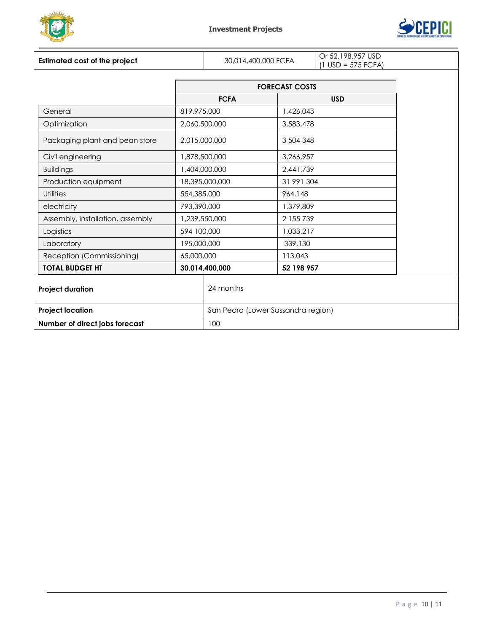



| <b>Estimated cost of the project</b> | 30,014,400,000 FCFA   |                                    | Or 52,198,957 USD<br>$(1$ USD = 575 FCFA) |  |  |
|--------------------------------------|-----------------------|------------------------------------|-------------------------------------------|--|--|
|                                      | <b>FORECAST COSTS</b> |                                    |                                           |  |  |
|                                      |                       | <b>FCFA</b><br><b>USD</b>          |                                           |  |  |
| General                              | 819,975,000           |                                    | 1,426,043                                 |  |  |
| Optimization                         |                       | 2,060,500,000                      | 3,583,478                                 |  |  |
| Packaging plant and bean store       |                       | 2,015,000,000                      | 3 504 348                                 |  |  |
| Civil engineering                    |                       | 1,878,500,000                      | 3,266,957                                 |  |  |
| <b>Buildings</b>                     |                       | 1,404,000,000                      | 2,441,739                                 |  |  |
| Production equipment                 |                       | 18,395,000,000                     | 31 991 304                                |  |  |
| <b>Utilities</b>                     | 554,385,000           |                                    | 964,148                                   |  |  |
| electricity                          | 793,390,000           |                                    | 1,379,809                                 |  |  |
| Assembly, installation, assembly     |                       | 1,239,550,000                      | 2 155 739                                 |  |  |
| Logistics                            | 594 100,000           |                                    | 1,033,217                                 |  |  |
| Laboratory                           | 195,000,000           |                                    | 339,130                                   |  |  |
| Reception (Commissioning)            | 65,000,000            |                                    | 113,043                                   |  |  |
| <b>TOTAL BUDGET HT</b>               |                       | 30,014,400,000                     | 52 198 957                                |  |  |
| <b>Project duration</b>              |                       | 24 months                          |                                           |  |  |
| <b>Project location</b>              |                       | San Pedro (Lower Sassandra region) |                                           |  |  |
| Number of direct jobs forecast       |                       | 100                                |                                           |  |  |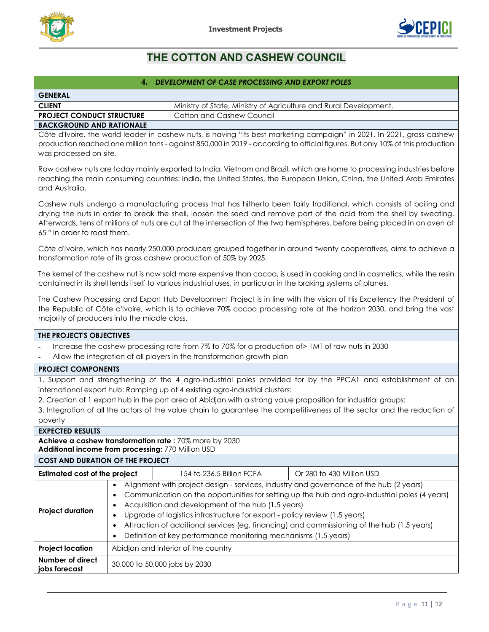



# <span id="page-10-0"></span>**THE COTTON AND CASHEW COUNCIL**

# **4.** *DEVELOPMENT OF CASE PROCESSING AND EXPORT POLES* **GENERAL CLIENT Ministry of State, Ministry of Agriculture and Rural Development. PROJECT CONDUCT STRUCTURE** | Cotton and Cashew Council **BACKGROUND AND RATIONALE**

Côte d'Ivoire, the world leader in cashew nuts, is having "its best marketing campaign" in 2021. In 2021, gross cashew production reached one million tons - against 850,000 in 2019 - according to official figures. But only 10% of this production was processed on site.

Raw cashew nuts are today mainly exported to India, Vietnam and Brazil, which are home to processing industries before reaching the main consuming countries: India, the United States, the European Union, China, the United Arab Emirates and Australia.

Cashew nuts undergo a manufacturing process that has hitherto been fairly traditional, which consists of boiling and drying the nuts in order to break the shell, loosen the seed and remove part of the acid from the shell by sweating. Afterwards, tens of millions of nuts are cut at the intersection of the two hemispheres, before being placed in an oven at 65 ° in order to roast them.

Côte d'Ivoire, which has nearly 250,000 producers grouped together in around twenty cooperatives, aims to achieve a transformation rate of its gross cashew production of 50% by 2025.

The kernel of the cashew nut is now sold more expensive than cocoa, is used in cooking and in cosmetics, while the resin contained in its shell lends itself to various industrial uses, in particular in the braking systems of planes.

The Cashew Processing and Export Hub Development Project is in line with the vision of His Excellency the President of the Republic of Côte d'Ivoire, which is to achieve 70% cocoa processing rate at the horizon 2030, and bring the vast majority of producers into the middle class.

| THE PROJECT'S OBJECTIVES                                                                         |                                                                                                                    |                                                                                                                |                                                                                                                         |  |
|--------------------------------------------------------------------------------------------------|--------------------------------------------------------------------------------------------------------------------|----------------------------------------------------------------------------------------------------------------|-------------------------------------------------------------------------------------------------------------------------|--|
| Increase the cashew processing rate from 7% to 70% for a production of > 1MT of raw nuts in 2030 |                                                                                                                    |                                                                                                                |                                                                                                                         |  |
|                                                                                                  | Allow the integration of all players in the transformation growth plan                                             |                                                                                                                |                                                                                                                         |  |
| <b>PROJECT COMPONENTS</b>                                                                        |                                                                                                                    |                                                                                                                |                                                                                                                         |  |
|                                                                                                  |                                                                                                                    |                                                                                                                |                                                                                                                         |  |
|                                                                                                  |                                                                                                                    |                                                                                                                | 1. Support and strengthening of the 4 agro-industrial poles provided for by the PPCA1 and establishment of an           |  |
|                                                                                                  |                                                                                                                    | international export hub: Ramping up of 4 existing agro-industrial clusters:                                   |                                                                                                                         |  |
|                                                                                                  |                                                                                                                    | 2. Creation of 1 export hub in the port area of Abidjan with a strong value proposition for industrial groups: |                                                                                                                         |  |
|                                                                                                  |                                                                                                                    |                                                                                                                | 3. Integration of all the actors of the value chain to guarantee the competitiveness of the sector and the reduction of |  |
| poverty                                                                                          |                                                                                                                    |                                                                                                                |                                                                                                                         |  |
| <b>EXPECTED RESULTS</b>                                                                          |                                                                                                                    |                                                                                                                |                                                                                                                         |  |
|                                                                                                  |                                                                                                                    | Achieve a cashew transformation rate: 70% more by 2030                                                         |                                                                                                                         |  |
| Additional income from processing: 770 Million USD                                               |                                                                                                                    |                                                                                                                |                                                                                                                         |  |
| <b>COST AND DURATION OF THE PROJECT</b>                                                          |                                                                                                                    |                                                                                                                |                                                                                                                         |  |
| <b>Estimated cost of the project</b>                                                             |                                                                                                                    | 154 to 236.5 Billion FCFA                                                                                      | Or 280 to 430 Million USD                                                                                               |  |
|                                                                                                  | ٠                                                                                                                  |                                                                                                                | Alignment with project design - services, industry and governance of the hub (2 years)                                  |  |
|                                                                                                  | $\bullet$                                                                                                          |                                                                                                                | Communication on the opportunities for setting up the hub and agro-industrial poles (4 years)                           |  |
| Acquisition and development of the hub (1.5 years)<br>٠                                          |                                                                                                                    |                                                                                                                |                                                                                                                         |  |
|                                                                                                  | <b>Project duration</b><br>Upgrade of logistics infrastructure for export - policy review (1.5 years)<br>$\bullet$ |                                                                                                                |                                                                                                                         |  |
|                                                                                                  | ٠                                                                                                                  |                                                                                                                | Attraction of additional services (eg, financing) and commissioning of the hub (1.5 years)                              |  |
| Definition of key performance monitoring mechanisms (1.5 years)                                  |                                                                                                                    |                                                                                                                |                                                                                                                         |  |
| <b>Project location</b>                                                                          | Abidjan and interior of the country                                                                                |                                                                                                                |                                                                                                                         |  |
| Number of direct<br>jobs forecast                                                                |                                                                                                                    | 30,000 to 50,000 jobs by 2030                                                                                  |                                                                                                                         |  |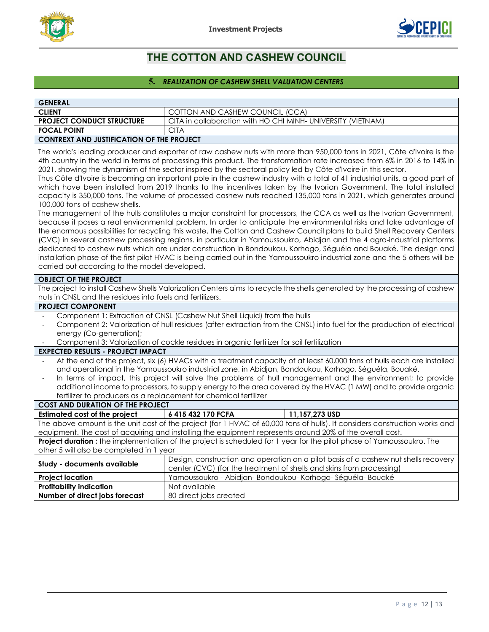



# **THE COTTON AND CASHEW COUNCIL**

# **5.** *REALIZATION OF CASHEW SHELL VALUATION CENTERS*

<span id="page-11-0"></span>

| <b>GENERAL</b>                                                                                                                                                                                                                                                                                                                                                                                                                                                                                                                                                                                                                                                                                                                                                                                                                                                                                                                                                                                                                                                                                                                                                                                                                                                                                                                                                                                                                                                                                                                                                                             |                                                                                                                                                             |  |  |
|--------------------------------------------------------------------------------------------------------------------------------------------------------------------------------------------------------------------------------------------------------------------------------------------------------------------------------------------------------------------------------------------------------------------------------------------------------------------------------------------------------------------------------------------------------------------------------------------------------------------------------------------------------------------------------------------------------------------------------------------------------------------------------------------------------------------------------------------------------------------------------------------------------------------------------------------------------------------------------------------------------------------------------------------------------------------------------------------------------------------------------------------------------------------------------------------------------------------------------------------------------------------------------------------------------------------------------------------------------------------------------------------------------------------------------------------------------------------------------------------------------------------------------------------------------------------------------------------|-------------------------------------------------------------------------------------------------------------------------------------------------------------|--|--|
| <b>CLIENT</b>                                                                                                                                                                                                                                                                                                                                                                                                                                                                                                                                                                                                                                                                                                                                                                                                                                                                                                                                                                                                                                                                                                                                                                                                                                                                                                                                                                                                                                                                                                                                                                              | COTTON AND CASHEW COUNCIL (CCA)                                                                                                                             |  |  |
| <b>PROJECT CONDUCT STRUCTURE</b>                                                                                                                                                                                                                                                                                                                                                                                                                                                                                                                                                                                                                                                                                                                                                                                                                                                                                                                                                                                                                                                                                                                                                                                                                                                                                                                                                                                                                                                                                                                                                           | CITA in collaboration with HO CHI MINH- UNIVERSITY (VIETNAM)                                                                                                |  |  |
| <b>FOCAL POINT</b><br><b>CITA</b>                                                                                                                                                                                                                                                                                                                                                                                                                                                                                                                                                                                                                                                                                                                                                                                                                                                                                                                                                                                                                                                                                                                                                                                                                                                                                                                                                                                                                                                                                                                                                          |                                                                                                                                                             |  |  |
| <b>CONTREXT AND JUSTIFICATION OF THE PROJECT</b>                                                                                                                                                                                                                                                                                                                                                                                                                                                                                                                                                                                                                                                                                                                                                                                                                                                                                                                                                                                                                                                                                                                                                                                                                                                                                                                                                                                                                                                                                                                                           |                                                                                                                                                             |  |  |
| The world's leading producer and exporter of raw cashew nuts with more than 950,000 tons in 2021, Côte d'Ivoire is the<br>4th country in the world in terms of processing this product. The transformation rate increased from 6% in 2016 to 14% in<br>2021, showing the dynamism of the sector inspired by the sectoral policy led by Côte d'Ivoire in this sector.<br>Thus Côte d'Ivoire is becoming an important pole in the cashew industry with a total of 41 industrial units, a good part of<br>which have been installed from 2019 thanks to the incentives taken by the Ivorian Government. The total installed<br>capacity is 350,000 tons. The volume of processed cashew nuts reached 135,000 tons in 2021, which generates around<br>100,000 tons of cashew shells.<br>The management of the hulls constitutes a major constraint for processors, the CCA as well as the Ivorian Government,<br>because it poses a real environmental problem. In order to anticipate the environmental risks and take advantage of<br>the enormous possibilities for recycling this waste, the Cotton and Cashew Council plans to build Shell Recovery Centers<br>(CVC) in several cashew processing regions. in particular in Yamoussoukro, Abidjan and the 4 agro-industrial platforms<br>dedicated to cashew nuts which are under construction in Bondoukou, Korhogo, Séguéla and Bouaké. The design and<br>installation phase of the first pilot HVAC is being carried out in the Yamoussoukro industrial zone and the 5 others will be<br>carried out according to the model developed. |                                                                                                                                                             |  |  |
| <b>OBJECT OF THE PROJECT</b>                                                                                                                                                                                                                                                                                                                                                                                                                                                                                                                                                                                                                                                                                                                                                                                                                                                                                                                                                                                                                                                                                                                                                                                                                                                                                                                                                                                                                                                                                                                                                               |                                                                                                                                                             |  |  |
| nuts in CNSL and the residues into fuels and fertilizers.                                                                                                                                                                                                                                                                                                                                                                                                                                                                                                                                                                                                                                                                                                                                                                                                                                                                                                                                                                                                                                                                                                                                                                                                                                                                                                                                                                                                                                                                                                                                  | The project to install Cashew Shells Valorization Centers aims to recycle the shells generated by the processing of cashew                                  |  |  |
| <b>PROJECT COMPONENT</b>                                                                                                                                                                                                                                                                                                                                                                                                                                                                                                                                                                                                                                                                                                                                                                                                                                                                                                                                                                                                                                                                                                                                                                                                                                                                                                                                                                                                                                                                                                                                                                   |                                                                                                                                                             |  |  |
| Component 1: Extraction of CNSL (Cashew Nut Shell Liquid) from the hulls<br>Component 2: Valorization of hull residues (after extraction from the CNSL) into fuel for the production of electrical<br>$\blacksquare$<br>energy (Co-generation);<br>Component 3: Valorization of cockle residues in organic fertilizer for soil fertilization                                                                                                                                                                                                                                                                                                                                                                                                                                                                                                                                                                                                                                                                                                                                                                                                                                                                                                                                                                                                                                                                                                                                                                                                                                               |                                                                                                                                                             |  |  |
| <b>EXPECTED RESULTS - PROJECT IMPACT</b>                                                                                                                                                                                                                                                                                                                                                                                                                                                                                                                                                                                                                                                                                                                                                                                                                                                                                                                                                                                                                                                                                                                                                                                                                                                                                                                                                                                                                                                                                                                                                   |                                                                                                                                                             |  |  |
| At the end of the project, six (6) HVACs with a treatment capacity of at least 60,000 tons of hulls each are installed<br>and operational in the Yamoussoukro industrial zone, in Abidjan, Bondoukou, Korhogo, Séguéla, Bouaké.<br>In terms of impact, this project will solve the problems of hull management and the environment; to provide<br>additional income to processors, to supply energy to the area covered by the HVAC (1 MW) and to provide organic<br>fertilizer to producers as a replacement for chemical fertilizer                                                                                                                                                                                                                                                                                                                                                                                                                                                                                                                                                                                                                                                                                                                                                                                                                                                                                                                                                                                                                                                      |                                                                                                                                                             |  |  |
| <b>COST AND DURATION OF THE PROJECT</b>                                                                                                                                                                                                                                                                                                                                                                                                                                                                                                                                                                                                                                                                                                                                                                                                                                                                                                                                                                                                                                                                                                                                                                                                                                                                                                                                                                                                                                                                                                                                                    |                                                                                                                                                             |  |  |
| <b>Estimated cost of the project</b>                                                                                                                                                                                                                                                                                                                                                                                                                                                                                                                                                                                                                                                                                                                                                                                                                                                                                                                                                                                                                                                                                                                                                                                                                                                                                                                                                                                                                                                                                                                                                       | 11,157,273 USD<br>6 415 432 170 FCFA                                                                                                                        |  |  |
| The above amount is the unit cost of the project (for 1 HVAC of 60,000 tons of hulls). It considers construction works and<br>equipment. The cost of acquiring and installing the equipment represents around 20% of the overall cost.                                                                                                                                                                                                                                                                                                                                                                                                                                                                                                                                                                                                                                                                                                                                                                                                                                                                                                                                                                                                                                                                                                                                                                                                                                                                                                                                                     |                                                                                                                                                             |  |  |
| Project duration: the implementation of the project is scheduled for 1 year for the pilot phase of Yamoussoukro. The                                                                                                                                                                                                                                                                                                                                                                                                                                                                                                                                                                                                                                                                                                                                                                                                                                                                                                                                                                                                                                                                                                                                                                                                                                                                                                                                                                                                                                                                       |                                                                                                                                                             |  |  |
| other 5 will also be completed in 1 year                                                                                                                                                                                                                                                                                                                                                                                                                                                                                                                                                                                                                                                                                                                                                                                                                                                                                                                                                                                                                                                                                                                                                                                                                                                                                                                                                                                                                                                                                                                                                   |                                                                                                                                                             |  |  |
| Study - documents available                                                                                                                                                                                                                                                                                                                                                                                                                                                                                                                                                                                                                                                                                                                                                                                                                                                                                                                                                                                                                                                                                                                                                                                                                                                                                                                                                                                                                                                                                                                                                                | Design, construction and operation on a pilot basis of a cashew nut shells recovery<br>center (CVC) (for the treatment of shells and skins from processing) |  |  |
| <b>Project location</b>                                                                                                                                                                                                                                                                                                                                                                                                                                                                                                                                                                                                                                                                                                                                                                                                                                                                                                                                                                                                                                                                                                                                                                                                                                                                                                                                                                                                                                                                                                                                                                    | Yamoussoukro - Abidjan-Bondoukou-Korhogo-Séguéla-Bouaké                                                                                                     |  |  |
| <b>Profitability indication</b>                                                                                                                                                                                                                                                                                                                                                                                                                                                                                                                                                                                                                                                                                                                                                                                                                                                                                                                                                                                                                                                                                                                                                                                                                                                                                                                                                                                                                                                                                                                                                            | Not available                                                                                                                                               |  |  |
| Number of direct jobs forecast                                                                                                                                                                                                                                                                                                                                                                                                                                                                                                                                                                                                                                                                                                                                                                                                                                                                                                                                                                                                                                                                                                                                                                                                                                                                                                                                                                                                                                                                                                                                                             | 80 direct jobs created                                                                                                                                      |  |  |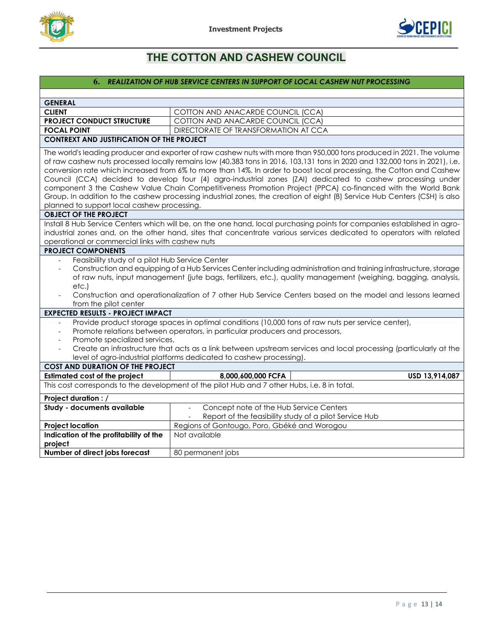



# **THE COTTON AND CASHEW COUNCIL**

## **6.** *REALIZATION OF HUB SERVICE CENTERS IN SUPPORT OF LOCAL CASHEW NUT PROCESSING*

<span id="page-12-0"></span>

| <b>GENERAL</b>                                                                                                                                                                                                                                                                                                                                                                                                                                                                                                                                                                                                                                                                                                                                                                                                                                                                                                                                   |                                                                                                                                      |  |  |  |
|--------------------------------------------------------------------------------------------------------------------------------------------------------------------------------------------------------------------------------------------------------------------------------------------------------------------------------------------------------------------------------------------------------------------------------------------------------------------------------------------------------------------------------------------------------------------------------------------------------------------------------------------------------------------------------------------------------------------------------------------------------------------------------------------------------------------------------------------------------------------------------------------------------------------------------------------------|--------------------------------------------------------------------------------------------------------------------------------------|--|--|--|
| <b>CLIENT</b>                                                                                                                                                                                                                                                                                                                                                                                                                                                                                                                                                                                                                                                                                                                                                                                                                                                                                                                                    | COTTON AND ANACARDE COUNCIL (CCA)                                                                                                    |  |  |  |
| <b>PROJECT CONDUCT STRUCTURE</b>                                                                                                                                                                                                                                                                                                                                                                                                                                                                                                                                                                                                                                                                                                                                                                                                                                                                                                                 | COTTON AND ANACARDE COUNCIL (CCA)                                                                                                    |  |  |  |
| <b>FOCAL POINT</b>                                                                                                                                                                                                                                                                                                                                                                                                                                                                                                                                                                                                                                                                                                                                                                                                                                                                                                                               | DIRECTORATE OF TRANSFORMATION AT CCA                                                                                                 |  |  |  |
| <b>CONTREXT AND JUSTIFICATION OF THE PROJECT</b>                                                                                                                                                                                                                                                                                                                                                                                                                                                                                                                                                                                                                                                                                                                                                                                                                                                                                                 |                                                                                                                                      |  |  |  |
| The world's leading producer and exporter of raw cashew nuts with more than 950,000 tons produced in 2021. The volume<br>of raw cashew nuts processed locally remains low (40,383 tons in 2016, 103,131 tons in 2020 and 132,000 tons in 2021), i.e.<br>conversion rate which increased from 6% to more than 14%. In order to boost local processing, the Cotton and Cashew<br>Council (CCA) decided to develop four (4) agro-industrial zones (ZAI) dedicated to cashew processing under<br>component 3 the Cashew Value Chain Competitiveness Promotion Project (PPCA) co-financed with the World Bank<br>Group. In addition to the cashew processing industrial zones, the creation of eight (8) Service Hub Centers (CSH) is also<br>planned to support local cashew processing.<br><b>OBJECT OF THE PROJECT</b><br>Install 8 Hub Service Centers which will be, on the one hand, local purchasing points for companies established in agro- |                                                                                                                                      |  |  |  |
| operational or commercial links with cashew nuts                                                                                                                                                                                                                                                                                                                                                                                                                                                                                                                                                                                                                                                                                                                                                                                                                                                                                                 | industrial zones and, on the other hand, sites that concentrate various services dedicated to operators with related                 |  |  |  |
| <b>PROJECT COMPONENTS</b>                                                                                                                                                                                                                                                                                                                                                                                                                                                                                                                                                                                                                                                                                                                                                                                                                                                                                                                        |                                                                                                                                      |  |  |  |
| Feasibility study of a pilot Hub Service Center<br>Construction and equipping of a Hub Services Center including administration and training infrastructure, storage<br>of raw nuts, input management (jute bags, fertilizers, etc.), quality management (weighing, bagging, analysis,<br>etc.)<br>Construction and operationalization of 7 other Hub Service Centers based on the model and lessons learned<br>from the pilot center                                                                                                                                                                                                                                                                                                                                                                                                                                                                                                            |                                                                                                                                      |  |  |  |
| <b>EXPECTED RESULTS - PROJECT IMPACT</b>                                                                                                                                                                                                                                                                                                                                                                                                                                                                                                                                                                                                                                                                                                                                                                                                                                                                                                         |                                                                                                                                      |  |  |  |
| Provide product storage spaces in optimal conditions (10,000 tons of raw nuts per service center),<br>Promote relations between operators, in particular producers and processors,<br>$\sim$<br>Promote specialized services,<br>Create an infrastructure that acts as a link between upstream services and local processing (particularly at the<br>$\sim$<br>level of agro-industrial platforms dedicated to cashew processing).                                                                                                                                                                                                                                                                                                                                                                                                                                                                                                               |                                                                                                                                      |  |  |  |
| <b>COST AND DURATION OF THE PROJECT</b>                                                                                                                                                                                                                                                                                                                                                                                                                                                                                                                                                                                                                                                                                                                                                                                                                                                                                                          |                                                                                                                                      |  |  |  |
| <b>Estimated cost of the project</b>                                                                                                                                                                                                                                                                                                                                                                                                                                                                                                                                                                                                                                                                                                                                                                                                                                                                                                             | 8,000,600,000 FCFA<br>USD 13,914,087                                                                                                 |  |  |  |
| This cost corresponds to the development of the pilot Hub and 7 other Hubs, i.e. 8 in total.                                                                                                                                                                                                                                                                                                                                                                                                                                                                                                                                                                                                                                                                                                                                                                                                                                                     |                                                                                                                                      |  |  |  |
| Project duration : /                                                                                                                                                                                                                                                                                                                                                                                                                                                                                                                                                                                                                                                                                                                                                                                                                                                                                                                             |                                                                                                                                      |  |  |  |
| Study - documents available                                                                                                                                                                                                                                                                                                                                                                                                                                                                                                                                                                                                                                                                                                                                                                                                                                                                                                                      | Concept note of the Hub Service Centers<br>$\mathcal{L}$<br>Report of the feasibility study of a pilot Service Hub<br>$\blacksquare$ |  |  |  |
| <b>Project location</b>                                                                                                                                                                                                                                                                                                                                                                                                                                                                                                                                                                                                                                                                                                                                                                                                                                                                                                                          | Regions of Gontougo, Poro, Gbéké and Worogou                                                                                         |  |  |  |
| Indication of the profitability of the<br>Not available<br>project                                                                                                                                                                                                                                                                                                                                                                                                                                                                                                                                                                                                                                                                                                                                                                                                                                                                               |                                                                                                                                      |  |  |  |
| Number of direct jobs forecast                                                                                                                                                                                                                                                                                                                                                                                                                                                                                                                                                                                                                                                                                                                                                                                                                                                                                                                   | 80 permanent jobs                                                                                                                    |  |  |  |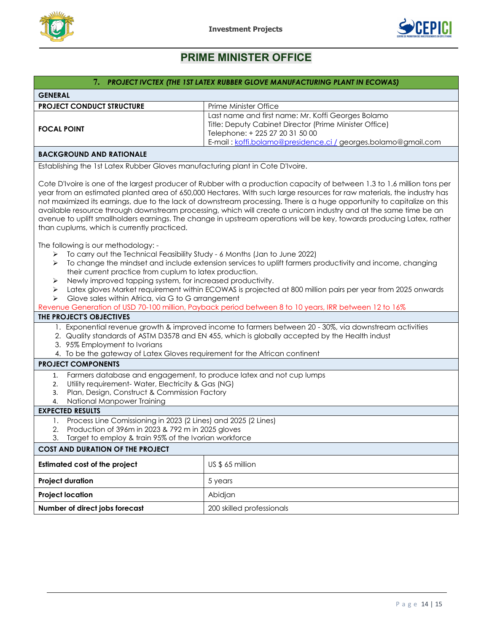



<span id="page-13-0"></span>

| 7. PROJECT IVCTEX (THE 1ST LATEX RUBBER GLOVE MANUFACTURING PLANT IN ECOWAS)                                                                                                                                                                                                                                                                                                                                                                                                                                                                                                                                                                                                |                                                                                                                                                                                                                  |  |  |
|-----------------------------------------------------------------------------------------------------------------------------------------------------------------------------------------------------------------------------------------------------------------------------------------------------------------------------------------------------------------------------------------------------------------------------------------------------------------------------------------------------------------------------------------------------------------------------------------------------------------------------------------------------------------------------|------------------------------------------------------------------------------------------------------------------------------------------------------------------------------------------------------------------|--|--|
| <b>GENERAL</b>                                                                                                                                                                                                                                                                                                                                                                                                                                                                                                                                                                                                                                                              |                                                                                                                                                                                                                  |  |  |
| <b>PROJECT CONDUCT STRUCTURE</b>                                                                                                                                                                                                                                                                                                                                                                                                                                                                                                                                                                                                                                            | Prime Minister Office                                                                                                                                                                                            |  |  |
| <b>FOCAL POINT</b>                                                                                                                                                                                                                                                                                                                                                                                                                                                                                                                                                                                                                                                          | Last name and first name: Mr. Koffi Georges Bolamo<br>Title: Deputy Cabinet Director (Prime Minister Office)<br>Telephone: + 225 27 20 31 50 00<br>E-mail: koffi.bolamo@presidence.ci / georges.bolamo@gmail.com |  |  |
| <b>BACKGROUND AND RATIONALE</b>                                                                                                                                                                                                                                                                                                                                                                                                                                                                                                                                                                                                                                             |                                                                                                                                                                                                                  |  |  |
| Establishing the 1st Latex Rubber Gloves manufacturing plant in Cote D'Ivoire.                                                                                                                                                                                                                                                                                                                                                                                                                                                                                                                                                                                              |                                                                                                                                                                                                                  |  |  |
| Cote D'Ivoire is one of the largest producer of Rubber with a production capacity of between 1.3 to 1.6 million tons per<br>year from an estimated planted area of 650,000 Hectares. With such large resources for raw materials, the industry has<br>not maximized its earnings, due to the lack of downstream processing. There is a huge opportunity to capitalize on this<br>available resource through downstream processing, which will create a unicorn industry and at the same time be an<br>avenue to uplift smallholders earnings. The change in upstream operations will be key, towards producing Latex, rather<br>than cuplums, which is currently practiced. |                                                                                                                                                                                                                  |  |  |
| The following is our methodology: -<br>To carry out the Technical Feasibility Study - 6 Months (Jan to June 2022)<br>➤<br>To change the mindset and include extension services to uplift farmers productivity and income, changing<br>➤<br>their current practice from cuplum to latex production.<br>Newly improved tapping system, for increased productivity.<br>➤<br>Latex gloves Market requirement within ECOWAS is projected at 800 million pairs per year from 2025 onwards<br>➤<br>Glove sales within Africa, via G to G arrangement<br>➤                                                                                                                          |                                                                                                                                                                                                                  |  |  |
| THE PROJECT'S OBJECTIVES                                                                                                                                                                                                                                                                                                                                                                                                                                                                                                                                                                                                                                                    | Revenue Generation of USD 70-100 million, Payback period between 8 to 10 years, IRR between 12 to 16%                                                                                                            |  |  |
| 1. Exponential revenue growth & improved income to farmers between 20 - 30%, via downstream activities<br>2. Quality standards of ASTM D3578 and EN 455, which is globally accepted by the Health indust<br>3. 95% Employment to Ivorians<br>4. To be the gateway of Latex Gloves requirement for the African continent                                                                                                                                                                                                                                                                                                                                                     |                                                                                                                                                                                                                  |  |  |
| <b>PROJECT COMPONENTS</b>                                                                                                                                                                                                                                                                                                                                                                                                                                                                                                                                                                                                                                                   |                                                                                                                                                                                                                  |  |  |
| Farmers database and engagement, to produce latex and not cup lumps<br>1.<br>Utility requirement- Water, Electricity & Gas (NG)<br>2.<br>Plan, Design, Construct & Commission Factory<br>3.<br>National Manpower Training<br>4.<br><b>EXPECTED RESULTS</b>                                                                                                                                                                                                                                                                                                                                                                                                                  |                                                                                                                                                                                                                  |  |  |
| Process Line Comissioning in 2023 (2 Lines) and 2025 (2 Lines)                                                                                                                                                                                                                                                                                                                                                                                                                                                                                                                                                                                                              |                                                                                                                                                                                                                  |  |  |
| Production of 396m in 2023 & 792 m in 2025 gloves<br>2.                                                                                                                                                                                                                                                                                                                                                                                                                                                                                                                                                                                                                     |                                                                                                                                                                                                                  |  |  |
| Target to employ & train 95% of the Ivorian workforce<br>3.<br><b>COST AND DURATION OF THE PROJECT</b>                                                                                                                                                                                                                                                                                                                                                                                                                                                                                                                                                                      |                                                                                                                                                                                                                  |  |  |
|                                                                                                                                                                                                                                                                                                                                                                                                                                                                                                                                                                                                                                                                             |                                                                                                                                                                                                                  |  |  |
| <b>Estimated cost of the project</b>                                                                                                                                                                                                                                                                                                                                                                                                                                                                                                                                                                                                                                        | US \$ 65 million                                                                                                                                                                                                 |  |  |
| <b>Project duration</b>                                                                                                                                                                                                                                                                                                                                                                                                                                                                                                                                                                                                                                                     | 5 years                                                                                                                                                                                                          |  |  |
| <b>Project location</b>                                                                                                                                                                                                                                                                                                                                                                                                                                                                                                                                                                                                                                                     | Abidjan                                                                                                                                                                                                          |  |  |
| Number of direct jobs forecast                                                                                                                                                                                                                                                                                                                                                                                                                                                                                                                                                                                                                                              | 200 skilled professionals                                                                                                                                                                                        |  |  |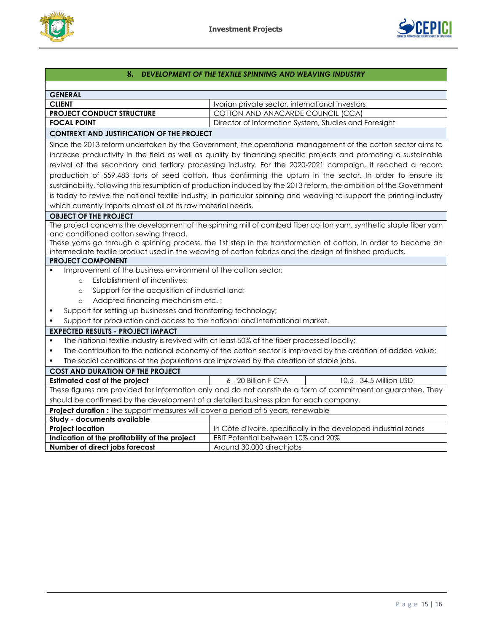



<span id="page-14-0"></span>

| 8. DEVELOPMENT OF THE TEXTILE SPINNING AND WEAVING INDUSTRY                                                    |                                                                                                                       |  |  |
|----------------------------------------------------------------------------------------------------------------|-----------------------------------------------------------------------------------------------------------------------|--|--|
|                                                                                                                |                                                                                                                       |  |  |
| <b>GENERAL</b>                                                                                                 |                                                                                                                       |  |  |
| <b>CLIENT</b>                                                                                                  | Ivorian private sector, international investors                                                                       |  |  |
| <b>PROJECT CONDUCT STRUCTURE</b>                                                                               | COTTON AND ANACARDE COUNCIL (CCA)                                                                                     |  |  |
| <b>FOCAL POINT</b>                                                                                             | Director of Information System, Studies and Foresight                                                                 |  |  |
| <b>CONTREXT AND JUSTIFICATION OF THE PROJECT</b>                                                               |                                                                                                                       |  |  |
| Since the 2013 reform undertaken by the Government, the operational management of the cotton sector aims to    |                                                                                                                       |  |  |
|                                                                                                                | increase productivity in the field as well as quality by financing specific projects and promoting a sustainable      |  |  |
|                                                                                                                | revival of the secondary and tertiary processing industry. For the 2020-2021 campaign, it reached a record            |  |  |
|                                                                                                                | production of 559,483 tons of seed cotton, thus confirming the upturn in the sector. In order to ensure its           |  |  |
|                                                                                                                | sustainability, following this resumption of production induced by the 2013 reform, the ambition of the Government    |  |  |
|                                                                                                                | is today to revive the national textile industry, in particular spinning and weaving to support the printing industry |  |  |
| which currently imports almost all of its raw material needs.                                                  |                                                                                                                       |  |  |
| <b>OBJECT OF THE PROJECT</b>                                                                                   |                                                                                                                       |  |  |
|                                                                                                                | The project concerns the development of the spinning mill of combed fiber cotton yarn, synthetic staple fiber yarn    |  |  |
| and conditioned cotton sewing thread.                                                                          |                                                                                                                       |  |  |
|                                                                                                                | These yarns go through a spinning process, the 1st step in the transformation of cotton, in order to become an        |  |  |
|                                                                                                                | intermediate textile product used in the weaving of cotton fabrics and the design of finished products.               |  |  |
| <b>PROJECT COMPONENT</b>                                                                                       |                                                                                                                       |  |  |
| Improvement of the business environment of the cotton sector;                                                  |                                                                                                                       |  |  |
| Establishment of incentives;<br>$\circ$                                                                        |                                                                                                                       |  |  |
| Support for the acquisition of industrial land;<br>$\circ$                                                     |                                                                                                                       |  |  |
| Adapted financing mechanism etc.;<br>$\circ$                                                                   |                                                                                                                       |  |  |
| Support for setting up businesses and transferring technology;<br>٠                                            |                                                                                                                       |  |  |
| Support for production and access to the national and international market.                                    |                                                                                                                       |  |  |
| <b>EXPECTED RESULTS - PROJECT IMPACT</b>                                                                       |                                                                                                                       |  |  |
| The national textile industry is revived with at least 50% of the fiber processed locally;<br>٠                |                                                                                                                       |  |  |
| The contribution to the national economy of the cotton sector is improved by the creation of added value;<br>٠ |                                                                                                                       |  |  |
| The social conditions of the populations are improved by the creation of stable jobs.                          |                                                                                                                       |  |  |
| <b>COST AND DURATION OF THE PROJECT</b>                                                                        |                                                                                                                       |  |  |
| <b>Estimated cost of the project</b>                                                                           | 6 - 20 Billion F CFA<br>10.5 - 34.5 Million USD                                                                       |  |  |
| These figures are provided for information only and do not constitute a form of commitment or guarantee. They  |                                                                                                                       |  |  |
| should be confirmed by the development of a detailed business plan for each company.                           |                                                                                                                       |  |  |
| Project duration : The support measures will cover a period of 5 years, renewable                              |                                                                                                                       |  |  |
| Study - documents available                                                                                    |                                                                                                                       |  |  |
| <b>Project location</b>                                                                                        | In Côte d'Ivoire, specifically in the developed industrial zones                                                      |  |  |
| Indication of the profitability of the project                                                                 | EBIT Potential between 10% and 20%                                                                                    |  |  |
| Number of direct jobs forecast                                                                                 | Around 30,000 direct jobs                                                                                             |  |  |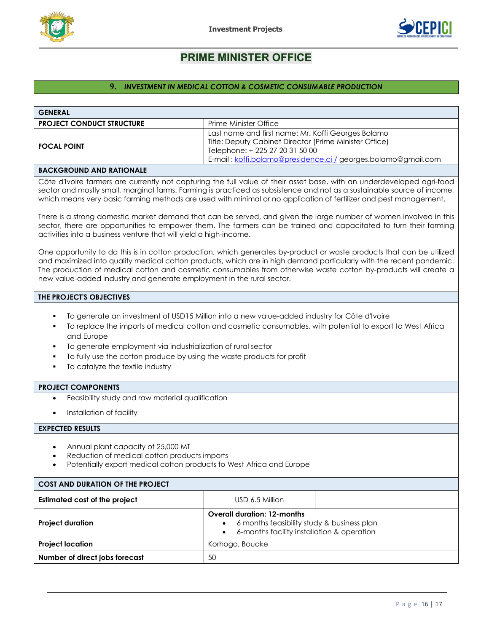



# **9.** *INVESTMENT IN MEDICAL COTTON & COSMETIC CONSUMABLE PRODUCTION*

<span id="page-15-0"></span>

| <b>GENERAL</b>                                                                                                                                                                                                                                                                                                                                                                                                                           |                                                                                                                                                                                                                  |  |  |  |
|------------------------------------------------------------------------------------------------------------------------------------------------------------------------------------------------------------------------------------------------------------------------------------------------------------------------------------------------------------------------------------------------------------------------------------------|------------------------------------------------------------------------------------------------------------------------------------------------------------------------------------------------------------------|--|--|--|
| <b>PROJECT CONDUCT STRUCTURE</b>                                                                                                                                                                                                                                                                                                                                                                                                         | Prime Minister Office                                                                                                                                                                                            |  |  |  |
| <b>FOCAL POINT</b>                                                                                                                                                                                                                                                                                                                                                                                                                       | Last name and first name: Mr. Koffi Georges Bolamo<br>Title: Deputy Cabinet Director (Prime Minister Office)<br>Telephone: + 225 27 20 31 50 00<br>E-mail: koffi.bolamo@presidence.ci / georges.bolamo@gmail.com |  |  |  |
| <b>BACKGROUND AND RATIONALE</b>                                                                                                                                                                                                                                                                                                                                                                                                          |                                                                                                                                                                                                                  |  |  |  |
| Côte d'Ivoire farmers are currently not capturing the full value of their asset base, with an underdeveloped agri-food<br>sector and mostly small, marginal farms. Farming is practiced as subsistence and not as a sustainable source of income,<br>which means very basic farming methods are used with minimal or no application of fertilizer and pest management.                                                                   |                                                                                                                                                                                                                  |  |  |  |
| There is a strong domestic market demand that can be served, and given the large number of women involved in this<br>sector, there are opportunities to empower them. The farmers can be trained and capacitated to turn their farming<br>activities into a business venture that will yield a high-income.                                                                                                                              |                                                                                                                                                                                                                  |  |  |  |
| One opportunity to do this is in cotton production, which generates by-product or waste products that can be utilized<br>and maximized into quality medical cotton products, which are in high demand particularly with the recent pandemic.<br>The production of medical cotton and cosmetic consumables from otherwise waste cotton by-products will create a<br>new value-added industry and generate employment in the rural sector. |                                                                                                                                                                                                                  |  |  |  |
| THE PROJECT'S OBJECTIVES                                                                                                                                                                                                                                                                                                                                                                                                                 |                                                                                                                                                                                                                  |  |  |  |
| To generate an investment of USD15 Million into a new value-added industry for Côte d'Ivoire<br>To replace the imports of medical cotton and cosmetic consumables, with potential to export to West Africa<br>٠<br>and Europe<br>To generate employment via industrialization of rural sector<br>To fully use the cotton produce by using the waste products for profit<br>To catalyze the textile industry                              |                                                                                                                                                                                                                  |  |  |  |
| <b>PROJECT COMPONENTS</b>                                                                                                                                                                                                                                                                                                                                                                                                                |                                                                                                                                                                                                                  |  |  |  |
| Feasibility study and raw material qualification                                                                                                                                                                                                                                                                                                                                                                                         |                                                                                                                                                                                                                  |  |  |  |
| Installation of facility                                                                                                                                                                                                                                                                                                                                                                                                                 |                                                                                                                                                                                                                  |  |  |  |
| <b>EXPECTED RESULTS</b>                                                                                                                                                                                                                                                                                                                                                                                                                  |                                                                                                                                                                                                                  |  |  |  |
| Annual plant capacity of 25,000 MT<br>Reduction of medical cotton products imports<br>Potentially export medical cotton products to West Africa and Europe                                                                                                                                                                                                                                                                               |                                                                                                                                                                                                                  |  |  |  |
| <b>COST AND DURATION OF THE PROJECT</b>                                                                                                                                                                                                                                                                                                                                                                                                  |                                                                                                                                                                                                                  |  |  |  |
| <b>Estimated cost of the project</b>                                                                                                                                                                                                                                                                                                                                                                                                     | USD 6.5 Million                                                                                                                                                                                                  |  |  |  |
| <b>Project duration</b>                                                                                                                                                                                                                                                                                                                                                                                                                  | <b>Overall duration: 12-months</b><br>6 months feasibility study & business plan<br>6-months facility installation & operation                                                                                   |  |  |  |
| <b>Project location</b>                                                                                                                                                                                                                                                                                                                                                                                                                  | Korhogo, Bouake                                                                                                                                                                                                  |  |  |  |
| Number of direct jobs forecast<br>50                                                                                                                                                                                                                                                                                                                                                                                                     |                                                                                                                                                                                                                  |  |  |  |
|                                                                                                                                                                                                                                                                                                                                                                                                                                          |                                                                                                                                                                                                                  |  |  |  |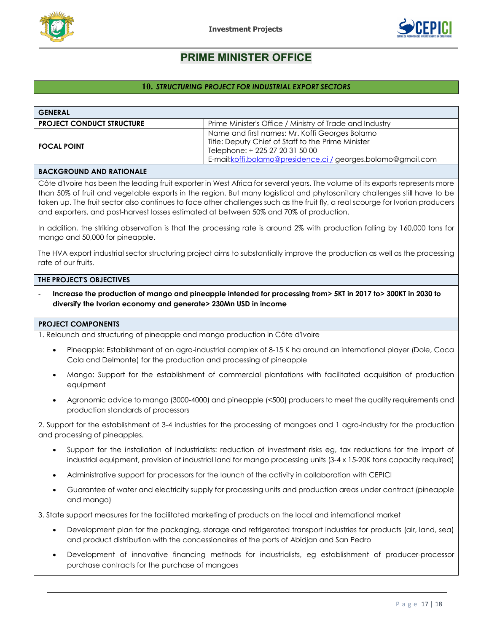



#### <span id="page-16-0"></span>**10.** *STRUCTURING PROJECT FOR INDUSTRIAL EXPORT SECTORS*

| <b>GENERAL</b>                   |                                                               |
|----------------------------------|---------------------------------------------------------------|
| <b>PROJECT CONDUCT STRUCTURE</b> | Prime Minister's Office / Ministry of Trade and Industry      |
|                                  | Name and first names: Mr. Koffi Georges Bolamo                |
| <b>FOCAL POINT</b>               | Title: Deputy Chief of Staff to the Prime Minister            |
|                                  | Telephone: + 225 27 20 31 50 00                               |
|                                  | E-mail: koffi.bolamo@presidence.ci / georges.bolamo@gmail.com |
|                                  |                                                               |

#### **BACKGROUND AND RATIONALE**

Côte d'Ivoire has been the leading fruit exporter in West Africa for several years. The volume of its exports represents more than 50% of fruit and vegetable exports in the region. But many logistical and phytosanitary challenges still have to be taken up. The fruit sector also continues to face other challenges such as the fruit fly, a real scourge for Ivorian producers and exporters, and post-harvest losses estimated at between 50% and 70% of production.

In addition, the striking observation is that the processing rate is around 2% with production falling by 160,000 tons for mango and 50,000 for pineapple.

The HVA export industrial sector structuring project aims to substantially improve the production as well as the processing rate of our fruits.

#### **THE PROJECT'S OBJECTIVES**

- **Increase the production of mango and pineapple intended for processing from> 5KT in 2017 to> 300KT in 2030 to diversify the Ivorian economy and generate> 230Mn USD in income**

#### **PROJECT COMPONENTS**

1. Relaunch and structuring of pineapple and mango production in Côte d'Ivoire

- Pineapple: Establishment of an agro-industrial complex of 8-15 K ha around an international player (Dole, Coca Cola and Delmonte) for the production and processing of pineapple
- Mango: Support for the establishment of commercial plantations with facilitated acquisition of production equipment
- Agronomic advice to mango (3000-4000) and pineapple (<500) producers to meet the quality requirements and production standards of processors

2. Support for the establishment of 3-4 industries for the processing of mangoes and 1 agro-industry for the production and processing of pineapples.

- Support for the installation of industrialists: reduction of investment risks eg, tax reductions for the import of industrial equipment, provision of industrial land for mango processing units (3-4 x 15-20K tons capacity required)
- Administrative support for processors for the launch of the activity in collaboration with CEPICI
- Guarantee of water and electricity supply for processing units and production areas under contract (pineapple and mango)

3. State support measures for the facilitated marketing of products on the local and international market

- Development plan for the packaging, storage and refrigerated transport industries for products (air, land, sea) and product distribution with the concessionaires of the ports of Abidjan and San Pedro
- Development of innovative financing methods for industrialists, eg establishment of producer-processor purchase contracts for the purchase of mangoes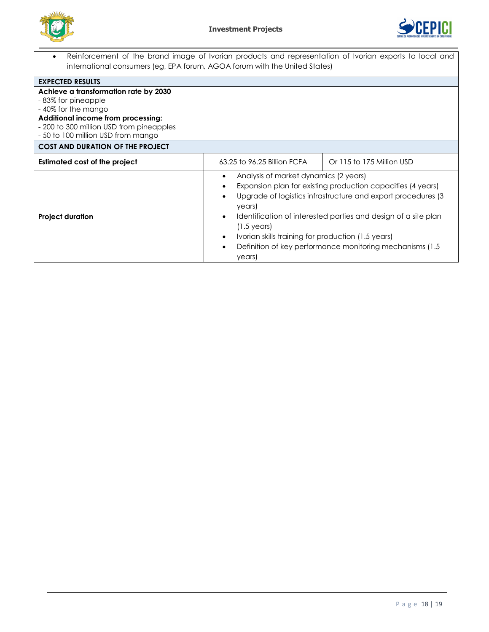



| Reinforcement of the brand image of Ivorian products and representation of Ivorian exports to local and<br>$\bullet$ |                                                                         |                                                             |  |
|----------------------------------------------------------------------------------------------------------------------|-------------------------------------------------------------------------|-------------------------------------------------------------|--|
| international consumers (eg, EPA forum, AGOA forum with the United States)                                           |                                                                         |                                                             |  |
| <b>EXPECTED RESULTS</b>                                                                                              |                                                                         |                                                             |  |
| Achieve a transformation rate by 2030                                                                                |                                                                         |                                                             |  |
| -83% for pineapple                                                                                                   |                                                                         |                                                             |  |
| -40% for the mango                                                                                                   |                                                                         |                                                             |  |
| Additional income from processing:                                                                                   |                                                                         |                                                             |  |
| - 200 to 300 million USD from pineapples                                                                             |                                                                         |                                                             |  |
| - 50 to 100 million USD from mango                                                                                   |                                                                         |                                                             |  |
| <b>COST AND DURATION OF THE PROJECT</b>                                                                              |                                                                         |                                                             |  |
| Estimated cost of the project                                                                                        | 63.25 to 96.25 Billion FCFA                                             | Or 115 to 175 Million USD                                   |  |
|                                                                                                                      | Analysis of market dynamics (2 years)<br>$\bullet$                      | Expansion plan for existing production capacities (4 years) |  |
|                                                                                                                      | Upgrade of logistics infrastructure and export procedures (3)<br>years) |                                                             |  |
| <b>Project duration</b>                                                                                              | Identification of interested parties and design of a site plan<br>٠     |                                                             |  |
|                                                                                                                      | $(1.5 \,\text{years})$                                                  |                                                             |  |
|                                                                                                                      | Ivorian skills training for production (1.5 years)<br>$\bullet$         |                                                             |  |
|                                                                                                                      | $\bullet$                                                               | Definition of key performance monitoring mechanisms (1.5)   |  |
|                                                                                                                      | years)                                                                  |                                                             |  |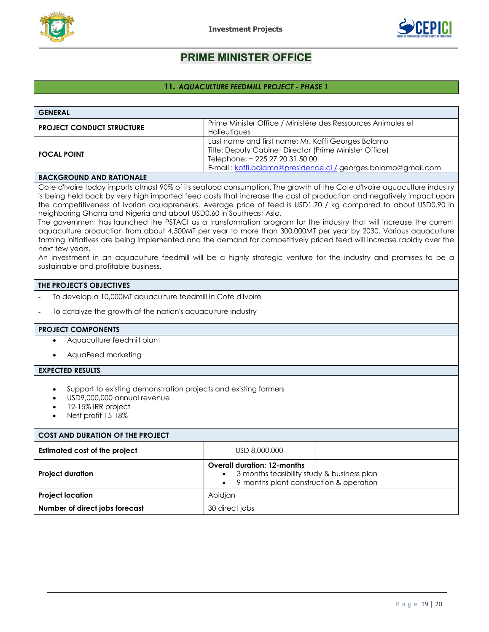



## <span id="page-18-0"></span>**11.** *AQUACULTURE FEEDMILL PROJECT - PHASE 1*

| <b>GENERAL</b>                                                                                                                                                                                                                                                                                                                                                                                                                                                                                                                                                                                                                                                                                                                                                                                                                                                                                                                                                                            |                                                                                                                                                                                                                  |  |  |  |
|-------------------------------------------------------------------------------------------------------------------------------------------------------------------------------------------------------------------------------------------------------------------------------------------------------------------------------------------------------------------------------------------------------------------------------------------------------------------------------------------------------------------------------------------------------------------------------------------------------------------------------------------------------------------------------------------------------------------------------------------------------------------------------------------------------------------------------------------------------------------------------------------------------------------------------------------------------------------------------------------|------------------------------------------------------------------------------------------------------------------------------------------------------------------------------------------------------------------|--|--|--|
| <b>PROJECT CONDUCT STRUCTURE</b>                                                                                                                                                                                                                                                                                                                                                                                                                                                                                                                                                                                                                                                                                                                                                                                                                                                                                                                                                          | Prime Minister Office / Ministère des Ressources Animales et<br>Halieutiques                                                                                                                                     |  |  |  |
| <b>FOCAL POINT</b>                                                                                                                                                                                                                                                                                                                                                                                                                                                                                                                                                                                                                                                                                                                                                                                                                                                                                                                                                                        | Last name and first name: Mr. Koffi Georges Bolamo<br>Title: Deputy Cabinet Director (Prime Minister Office)<br>Telephone: + 225 27 20 31 50 00<br>E-mail: koffi.bolamo@presidence.ci / georges.bolamo@gmail.com |  |  |  |
| <b>BACKGROUND AND RATIONALE</b>                                                                                                                                                                                                                                                                                                                                                                                                                                                                                                                                                                                                                                                                                                                                                                                                                                                                                                                                                           |                                                                                                                                                                                                                  |  |  |  |
| Cote d'Ivoire today imports almost 90% of its seafood consumption. The growth of the Cote d'Ivoire aquaculture industry<br>is being held back by very high imported feed costs that increase the cost of production and negatively impact upon<br>the competitiveness of Ivorian aquapreneurs. Average price of feed is USD1.70 / kg compared to about USD0.90 in<br>neighboring Ghana and Nigeria and about USD0.60 in Southeast Asia.<br>The government has launched the PSTACI as a transformation program for the industry that will increase the current<br>aquaculture production from about 4,500MT per year to more than 300,000MT per year by 2030. Various aquaculture<br>farming initiatives are being implemented and the demand for competitively priced feed will increase rapidly over the<br>next few years.<br>An investment in an aquaculture feedmill will be a highly strategic venture for the industry and promises to be a<br>sustainable and profitable business. |                                                                                                                                                                                                                  |  |  |  |
| THE PROJECT'S OBJECTIVES                                                                                                                                                                                                                                                                                                                                                                                                                                                                                                                                                                                                                                                                                                                                                                                                                                                                                                                                                                  |                                                                                                                                                                                                                  |  |  |  |
| To develop a 10,000MT aquaculture feedmill in Cote d'Ivoire                                                                                                                                                                                                                                                                                                                                                                                                                                                                                                                                                                                                                                                                                                                                                                                                                                                                                                                               |                                                                                                                                                                                                                  |  |  |  |
| To catalyze the growth of the nation's aquaculture industry<br>$\overline{\phantom{a}}$                                                                                                                                                                                                                                                                                                                                                                                                                                                                                                                                                                                                                                                                                                                                                                                                                                                                                                   |                                                                                                                                                                                                                  |  |  |  |
| <b>PROJECT COMPONENTS</b>                                                                                                                                                                                                                                                                                                                                                                                                                                                                                                                                                                                                                                                                                                                                                                                                                                                                                                                                                                 |                                                                                                                                                                                                                  |  |  |  |
| Aquaculture feedmill plant<br>$\bullet$                                                                                                                                                                                                                                                                                                                                                                                                                                                                                                                                                                                                                                                                                                                                                                                                                                                                                                                                                   |                                                                                                                                                                                                                  |  |  |  |
| AquaFeed marketing                                                                                                                                                                                                                                                                                                                                                                                                                                                                                                                                                                                                                                                                                                                                                                                                                                                                                                                                                                        |                                                                                                                                                                                                                  |  |  |  |
| <b>EXPECTED RESULTS</b>                                                                                                                                                                                                                                                                                                                                                                                                                                                                                                                                                                                                                                                                                                                                                                                                                                                                                                                                                                   |                                                                                                                                                                                                                  |  |  |  |
| Support to existing demonstration projects and existing farmers<br>$\bullet$<br>USD9,000,000 annual revenue<br>12-15% IRR project<br>Nett profit 15-18%<br>$\bullet$                                                                                                                                                                                                                                                                                                                                                                                                                                                                                                                                                                                                                                                                                                                                                                                                                      |                                                                                                                                                                                                                  |  |  |  |
| <b>COST AND DURATION OF THE PROJECT</b>                                                                                                                                                                                                                                                                                                                                                                                                                                                                                                                                                                                                                                                                                                                                                                                                                                                                                                                                                   |                                                                                                                                                                                                                  |  |  |  |
| <b>Estimated cost of the project</b>                                                                                                                                                                                                                                                                                                                                                                                                                                                                                                                                                                                                                                                                                                                                                                                                                                                                                                                                                      | USD 8,000,000                                                                                                                                                                                                    |  |  |  |
| <b>Project duration</b>                                                                                                                                                                                                                                                                                                                                                                                                                                                                                                                                                                                                                                                                                                                                                                                                                                                                                                                                                                   | <b>Overall duration: 12-months</b><br>3 months feasibility study & business plan<br>$\bullet$<br>9-months plant construction & operation<br>$\bullet$                                                            |  |  |  |
| <b>Project location</b><br>Abidjan                                                                                                                                                                                                                                                                                                                                                                                                                                                                                                                                                                                                                                                                                                                                                                                                                                                                                                                                                        |                                                                                                                                                                                                                  |  |  |  |
| Number of direct jobs forecast                                                                                                                                                                                                                                                                                                                                                                                                                                                                                                                                                                                                                                                                                                                                                                                                                                                                                                                                                            | 30 direct jobs                                                                                                                                                                                                   |  |  |  |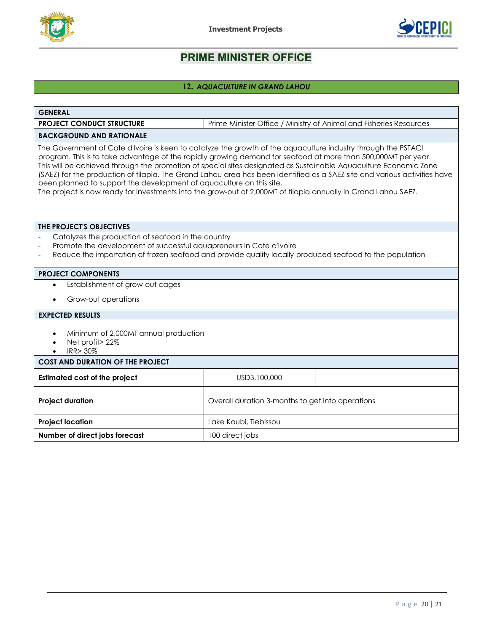



## <span id="page-19-0"></span>**12.** *AQUACULTURE IN GRAND LAHOU*

| <b>GENERAL</b>                                                                                                                                                                                                                                                                                                                                                                                                                                                                                                                                                                                                                                                            |                                                  |  |  |
|---------------------------------------------------------------------------------------------------------------------------------------------------------------------------------------------------------------------------------------------------------------------------------------------------------------------------------------------------------------------------------------------------------------------------------------------------------------------------------------------------------------------------------------------------------------------------------------------------------------------------------------------------------------------------|--------------------------------------------------|--|--|
| Prime Minister Office / Ministry of Animal and Fisheries Resources<br><b>PROJECT CONDUCT STRUCTURE</b>                                                                                                                                                                                                                                                                                                                                                                                                                                                                                                                                                                    |                                                  |  |  |
| <b>BACKGROUND AND RATIONALE</b>                                                                                                                                                                                                                                                                                                                                                                                                                                                                                                                                                                                                                                           |                                                  |  |  |
| The Government of Cote d'Ivoire is keen to catalyze the growth of the aquaculture industry through the PSTACI<br>program. This is to take advantage of the rapidly growing demand for seafood at more than 500,000MT per year.<br>This will be achieved through the promotion of special sites designated as Sustainable Aquaculture Economic Zone<br>(SAEZ) for the production of tilapia. The Grand Lahou area has been identified as a SAEZ site and various activities have<br>been planned to support the development of aquaculture on this site.<br>The project is now ready for investments into the grow-out of 2,000MT of tilapia annually in Grand Lahou SAEZ. |                                                  |  |  |
| THE PROJECT'S OBJECTIVES                                                                                                                                                                                                                                                                                                                                                                                                                                                                                                                                                                                                                                                  |                                                  |  |  |
| Catalyzes the production of seafood in the country<br>Promote the development of successful aquapreneurs in Cote d'Ivoire<br>Reduce the importation of frozen seafood and provide quality locally-produced seafood to the population                                                                                                                                                                                                                                                                                                                                                                                                                                      |                                                  |  |  |
| <b>PROJECT COMPONENTS</b>                                                                                                                                                                                                                                                                                                                                                                                                                                                                                                                                                                                                                                                 |                                                  |  |  |
| Establishment of grow-out cages<br>$\bullet$                                                                                                                                                                                                                                                                                                                                                                                                                                                                                                                                                                                                                              |                                                  |  |  |
| Grow-out operations                                                                                                                                                                                                                                                                                                                                                                                                                                                                                                                                                                                                                                                       |                                                  |  |  |
| <b>EXPECTED RESULTS</b>                                                                                                                                                                                                                                                                                                                                                                                                                                                                                                                                                                                                                                                   |                                                  |  |  |
| Minimum of 2,000MT annual production<br>$\bullet$<br>Net profit> 22%<br><b>IRR&gt; 30%</b>                                                                                                                                                                                                                                                                                                                                                                                                                                                                                                                                                                                |                                                  |  |  |
| <b>COST AND DURATION OF THE PROJECT</b>                                                                                                                                                                                                                                                                                                                                                                                                                                                                                                                                                                                                                                   |                                                  |  |  |
| <b>Estimated cost of the project</b>                                                                                                                                                                                                                                                                                                                                                                                                                                                                                                                                                                                                                                      | USD3,100,000                                     |  |  |
| <b>Project duration</b>                                                                                                                                                                                                                                                                                                                                                                                                                                                                                                                                                                                                                                                   | Overall duration 3-months to get into operations |  |  |
| <b>Project location</b>                                                                                                                                                                                                                                                                                                                                                                                                                                                                                                                                                                                                                                                   | Lake Koubi, Tiebissou                            |  |  |
| Number of direct jobs forecast                                                                                                                                                                                                                                                                                                                                                                                                                                                                                                                                                                                                                                            | 100 direct jobs                                  |  |  |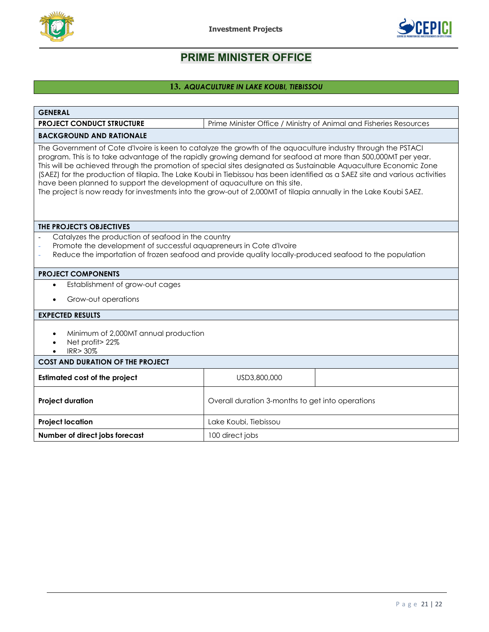



## <span id="page-20-0"></span>**13.** *AQUACULTURE IN LAKE KOUBI, TIEBISSOU*

| <b>GENERAL</b>                                                                                                                                                                                                                                                                                                                                                                                                                                                                                                                                                                                                                                                                      |                                                  |  |  |  |
|-------------------------------------------------------------------------------------------------------------------------------------------------------------------------------------------------------------------------------------------------------------------------------------------------------------------------------------------------------------------------------------------------------------------------------------------------------------------------------------------------------------------------------------------------------------------------------------------------------------------------------------------------------------------------------------|--------------------------------------------------|--|--|--|
| Prime Minister Office / Ministry of Animal and Fisheries Resources<br><b>PROJECT CONDUCT STRUCTURE</b>                                                                                                                                                                                                                                                                                                                                                                                                                                                                                                                                                                              |                                                  |  |  |  |
| <b>BACKGROUND AND RATIONALE</b>                                                                                                                                                                                                                                                                                                                                                                                                                                                                                                                                                                                                                                                     |                                                  |  |  |  |
| The Government of Cote d'Ivoire is keen to catalyze the growth of the aquaculture industry through the PSTACI<br>program. This is to take advantage of the rapidly growing demand for seafood at more than 500,000MT per year.<br>This will be achieved through the promotion of special sites designated as Sustainable Aquaculture Economic Zone<br>(SAEZ) for the production of tilapia. The Lake Koubi in Tiebissou has been identified as a SAEZ site and various activities<br>have been planned to support the development of aquaculture on this site.<br>The project is now ready for investments into the grow-out of 2,000MT of tilapia annually in the Lake Koubi SAEZ. |                                                  |  |  |  |
| THE PROJECT'S OBJECTIVES                                                                                                                                                                                                                                                                                                                                                                                                                                                                                                                                                                                                                                                            |                                                  |  |  |  |
| Catalyzes the production of seafood in the country<br>Promote the development of successful aquapreneurs in Cote d'Ivoire<br>Reduce the importation of frozen seafood and provide quality locally-produced seafood to the population                                                                                                                                                                                                                                                                                                                                                                                                                                                |                                                  |  |  |  |
| <b>PROJECT COMPONENTS</b>                                                                                                                                                                                                                                                                                                                                                                                                                                                                                                                                                                                                                                                           |                                                  |  |  |  |
| Establishment of grow-out cages<br>$\bullet$                                                                                                                                                                                                                                                                                                                                                                                                                                                                                                                                                                                                                                        |                                                  |  |  |  |
| Grow-out operations                                                                                                                                                                                                                                                                                                                                                                                                                                                                                                                                                                                                                                                                 |                                                  |  |  |  |
| <b>EXPECTED RESULTS</b>                                                                                                                                                                                                                                                                                                                                                                                                                                                                                                                                                                                                                                                             |                                                  |  |  |  |
| Minimum of 2,000MT annual production<br>$\bullet$<br>Net profit> 22%<br><b>IRR&gt; 30%</b>                                                                                                                                                                                                                                                                                                                                                                                                                                                                                                                                                                                          |                                                  |  |  |  |
| <b>COST AND DURATION OF THE PROJECT</b>                                                                                                                                                                                                                                                                                                                                                                                                                                                                                                                                                                                                                                             |                                                  |  |  |  |
| <b>Estimated cost of the project</b>                                                                                                                                                                                                                                                                                                                                                                                                                                                                                                                                                                                                                                                | USD3,800,000                                     |  |  |  |
| <b>Project duration</b>                                                                                                                                                                                                                                                                                                                                                                                                                                                                                                                                                                                                                                                             | Overall duration 3-months to get into operations |  |  |  |
| <b>Project location</b>                                                                                                                                                                                                                                                                                                                                                                                                                                                                                                                                                                                                                                                             | Lake Koubi, Tiebissou                            |  |  |  |
| Number of direct jobs forecast                                                                                                                                                                                                                                                                                                                                                                                                                                                                                                                                                                                                                                                      | 100 direct jobs                                  |  |  |  |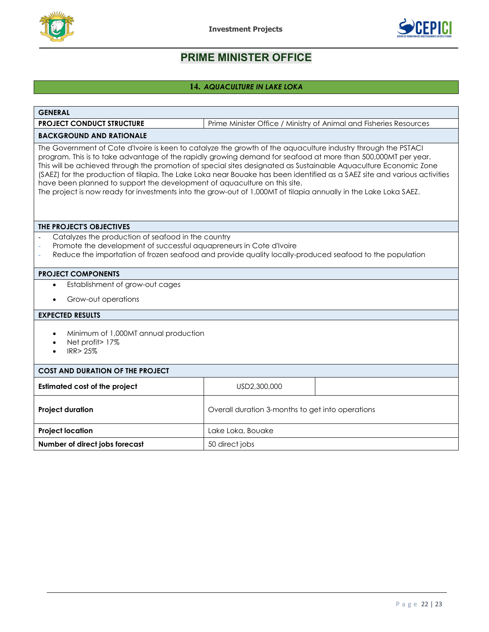



## <span id="page-21-0"></span>**14.** *AQUACULTURE IN LAKE LOKA*

| <b>GENERAL</b>                                                                                                                                                                                                                                                                                                                                                                                                                                                                                                                                                                                                                                                                   |                                                  |  |  |
|----------------------------------------------------------------------------------------------------------------------------------------------------------------------------------------------------------------------------------------------------------------------------------------------------------------------------------------------------------------------------------------------------------------------------------------------------------------------------------------------------------------------------------------------------------------------------------------------------------------------------------------------------------------------------------|--------------------------------------------------|--|--|
| <b>PROJECT CONDUCT STRUCTURE</b><br>Prime Minister Office / Ministry of Animal and Fisheries Resources                                                                                                                                                                                                                                                                                                                                                                                                                                                                                                                                                                           |                                                  |  |  |
| <b>BACKGROUND AND RATIONALE</b>                                                                                                                                                                                                                                                                                                                                                                                                                                                                                                                                                                                                                                                  |                                                  |  |  |
| The Government of Cote d'Ivoire is keen to catalyze the growth of the aquaculture industry through the PSTACI<br>program. This is to take advantage of the rapidly growing demand for seafood at more than 500,000MT per year.<br>This will be achieved through the promotion of special sites designated as Sustainable Aquaculture Economic Zone<br>(SAEZ) for the production of tilapia. The Lake Loka near Bouake has been identified as a SAEZ site and various activities<br>have been planned to support the development of aquaculture on this site.<br>The project is now ready for investments into the grow-out of 1,000MT of tilapia annually in the Lake Loka SAEZ. |                                                  |  |  |
| THE PROJECT'S OBJECTIVES                                                                                                                                                                                                                                                                                                                                                                                                                                                                                                                                                                                                                                                         |                                                  |  |  |
| Catalyzes the production of seafood in the country<br>Promote the development of successful aquapreneurs in Cote d'Ivoire<br>Reduce the importation of frozen seafood and provide quality locally-produced seafood to the population                                                                                                                                                                                                                                                                                                                                                                                                                                             |                                                  |  |  |
| <b>PROJECT COMPONENTS</b>                                                                                                                                                                                                                                                                                                                                                                                                                                                                                                                                                                                                                                                        |                                                  |  |  |
| Establishment of grow-out cages<br>$\bullet$                                                                                                                                                                                                                                                                                                                                                                                                                                                                                                                                                                                                                                     |                                                  |  |  |
| Grow-out operations                                                                                                                                                                                                                                                                                                                                                                                                                                                                                                                                                                                                                                                              |                                                  |  |  |
| <b>EXPECTED RESULTS</b>                                                                                                                                                                                                                                                                                                                                                                                                                                                                                                                                                                                                                                                          |                                                  |  |  |
| Minimum of 1,000MT annual production<br>Net profit> 17%<br><b>IRR&gt;25%</b>                                                                                                                                                                                                                                                                                                                                                                                                                                                                                                                                                                                                     |                                                  |  |  |
| <b>COST AND DURATION OF THE PROJECT</b>                                                                                                                                                                                                                                                                                                                                                                                                                                                                                                                                                                                                                                          |                                                  |  |  |
| <b>Estimated cost of the project</b>                                                                                                                                                                                                                                                                                                                                                                                                                                                                                                                                                                                                                                             | USD2,300,000                                     |  |  |
| <b>Project duration</b>                                                                                                                                                                                                                                                                                                                                                                                                                                                                                                                                                                                                                                                          | Overall duration 3-months to get into operations |  |  |
| <b>Project location</b><br>Lake Loka, Bouake                                                                                                                                                                                                                                                                                                                                                                                                                                                                                                                                                                                                                                     |                                                  |  |  |
| Number of direct jobs forecast<br>50 direct jobs                                                                                                                                                                                                                                                                                                                                                                                                                                                                                                                                                                                                                                 |                                                  |  |  |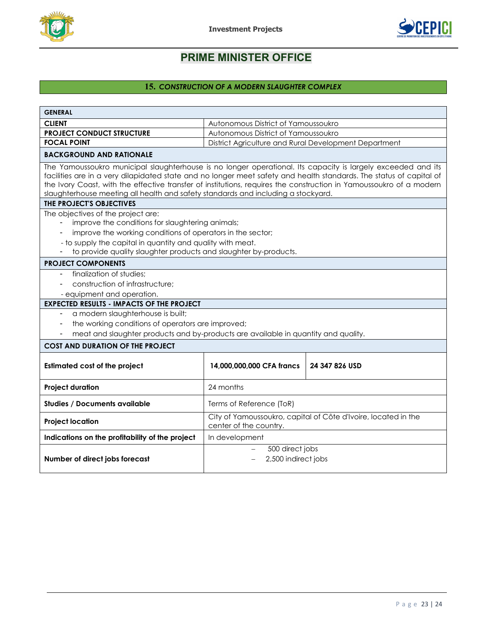



## **15.** *CONSTRUCTION OF A MODERN SLAUGHTER COMPLEX*

<span id="page-22-0"></span>

| <b>GENERAL</b>                                                                                                                                                                                                                                                                                                                                                                                                                                                              |                                                       |  |  |  |
|-----------------------------------------------------------------------------------------------------------------------------------------------------------------------------------------------------------------------------------------------------------------------------------------------------------------------------------------------------------------------------------------------------------------------------------------------------------------------------|-------------------------------------------------------|--|--|--|
| <b>CLIENT</b>                                                                                                                                                                                                                                                                                                                                                                                                                                                               | Autonomous District of Yamoussoukro                   |  |  |  |
| <b>PROJECT CONDUCT STRUCTURE</b>                                                                                                                                                                                                                                                                                                                                                                                                                                            | Autonomous District of Yamoussoukro                   |  |  |  |
| <b>FOCAL POINT</b>                                                                                                                                                                                                                                                                                                                                                                                                                                                          | District Agriculture and Rural Development Department |  |  |  |
| <b>BACKGROUND AND RATIONALE</b>                                                                                                                                                                                                                                                                                                                                                                                                                                             |                                                       |  |  |  |
| The Yamoussoukro municipal slaughterhouse is no longer operational. Its capacity is largely exceeded and its<br>facilities are in a very dilapidated state and no longer meet safety and health standards. The status of capital of<br>the Ivory Coast, with the effective transfer of institutions, requires the construction in Yamoussoukro of a modern<br>slaughterhouse meeting all health and safety standards and including a stockyard.<br>THE PROJECT'S OBJECTIVES |                                                       |  |  |  |
| The objectives of the project are:                                                                                                                                                                                                                                                                                                                                                                                                                                          |                                                       |  |  |  |
| improve the conditions for slaughtering animals;                                                                                                                                                                                                                                                                                                                                                                                                                            |                                                       |  |  |  |
| improve the working conditions of operators in the sector;                                                                                                                                                                                                                                                                                                                                                                                                                  |                                                       |  |  |  |
| - to supply the capital in quantity and quality with meat.                                                                                                                                                                                                                                                                                                                                                                                                                  |                                                       |  |  |  |
| to provide quality slaughter products and slaughter by-products.                                                                                                                                                                                                                                                                                                                                                                                                            |                                                       |  |  |  |
| <b>PROJECT COMPONENTS</b>                                                                                                                                                                                                                                                                                                                                                                                                                                                   |                                                       |  |  |  |
| finalization of studies;                                                                                                                                                                                                                                                                                                                                                                                                                                                    |                                                       |  |  |  |
| construction of infrastructure;                                                                                                                                                                                                                                                                                                                                                                                                                                             |                                                       |  |  |  |
| - equipment and operation.                                                                                                                                                                                                                                                                                                                                                                                                                                                  |                                                       |  |  |  |
| <b>EXPECTED RESULTS - IMPACTS OF THE PROJECT</b>                                                                                                                                                                                                                                                                                                                                                                                                                            |                                                       |  |  |  |
| a modern slaughterhouse is built;                                                                                                                                                                                                                                                                                                                                                                                                                                           |                                                       |  |  |  |
| the working conditions of operators are improved;                                                                                                                                                                                                                                                                                                                                                                                                                           |                                                       |  |  |  |
| meat and slaughter products and by-products are available in quantity and quality.                                                                                                                                                                                                                                                                                                                                                                                          |                                                       |  |  |  |
| <b>COST AND DURATION OF THE PROJECT</b>                                                                                                                                                                                                                                                                                                                                                                                                                                     |                                                       |  |  |  |
| <b>Estimated cost of the project</b>                                                                                                                                                                                                                                                                                                                                                                                                                                        | 24 347 826 USD<br>14,000,000,000 CFA francs           |  |  |  |
| 24 months<br><b>Project duration</b>                                                                                                                                                                                                                                                                                                                                                                                                                                        |                                                       |  |  |  |
| <b>Studies / Documents available</b><br>Terms of Reference (ToR)                                                                                                                                                                                                                                                                                                                                                                                                            |                                                       |  |  |  |
| City of Yamoussoukro, capital of Côte d'Ivoire, located in the<br><b>Project location</b><br>center of the country.                                                                                                                                                                                                                                                                                                                                                         |                                                       |  |  |  |
| Indications on the profitability of the project                                                                                                                                                                                                                                                                                                                                                                                                                             | In development                                        |  |  |  |
| Number of direct jobs forecast                                                                                                                                                                                                                                                                                                                                                                                                                                              | 500 direct jobs<br>2,500 indirect jobs                |  |  |  |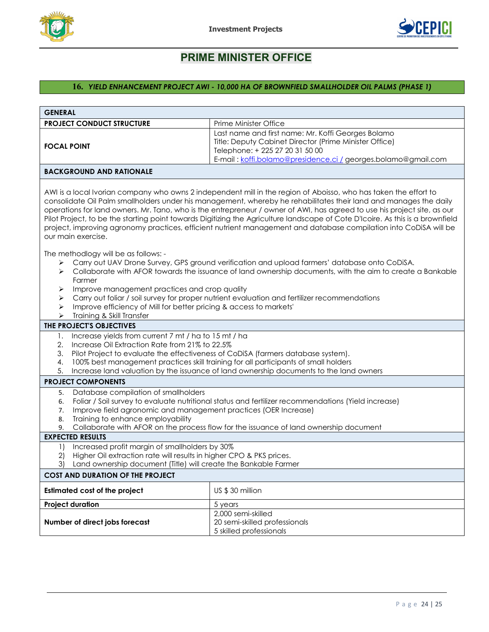



## <span id="page-23-0"></span>**16.** *YIELD ENHANCEMENT PROJECT AWI - 10,000 HA OF BROWNFIELD SMALLHOLDER OIL PALMS (PHASE 1)*

| <b>GENERAL</b>                                                                                                                                                                                                                                                                                                                                                                                                                                                                                                                                                                                                                                 |                                                                                                                                                                                                            |  |  |  |
|------------------------------------------------------------------------------------------------------------------------------------------------------------------------------------------------------------------------------------------------------------------------------------------------------------------------------------------------------------------------------------------------------------------------------------------------------------------------------------------------------------------------------------------------------------------------------------------------------------------------------------------------|------------------------------------------------------------------------------------------------------------------------------------------------------------------------------------------------------------|--|--|--|
| <b>PROJECT CONDUCT STRUCTURE</b>                                                                                                                                                                                                                                                                                                                                                                                                                                                                                                                                                                                                               | Prime Minister Office                                                                                                                                                                                      |  |  |  |
| Last name and first name: Mr. Koffi Georges Bolamo<br>Title: Deputy Cabinet Director (Prime Minister Office)<br><b>FOCAL POINT</b><br>Telephone: + 225 27 20 31 50 00<br>E-mail: koffi.bolamo@presidence.ci / georges.bolamo@gmail.com                                                                                                                                                                                                                                                                                                                                                                                                         |                                                                                                                                                                                                            |  |  |  |
| <b>BACKGROUND AND RATIONALE</b>                                                                                                                                                                                                                                                                                                                                                                                                                                                                                                                                                                                                                |                                                                                                                                                                                                            |  |  |  |
| AWI is a local Ivorian company who owns 2 independent mill in the region of Aboisso, who has taken the effort to<br>consolidate Oil Palm smallholders under his management, whereby he rehabilitates their land and manages the daily<br>operations for land owners. Mr. Tano, who is the entrepreneur / owner of AWI, has agreed to use his project site, as our<br>Pilot Project, to be the starting point towards Digitizing the Agriculture landscape of Cote D'Icoire. As this is a brownfield<br>project, improving agronomy practices, efficient nutrient management and database compilation into CoDiSA will be<br>our main exercise. |                                                                                                                                                                                                            |  |  |  |
| The methodlogy will be as follows: -                                                                                                                                                                                                                                                                                                                                                                                                                                                                                                                                                                                                           |                                                                                                                                                                                                            |  |  |  |
| ➤<br>➤<br>Farmer<br>Improve management practices and crop quality<br>➤                                                                                                                                                                                                                                                                                                                                                                                                                                                                                                                                                                         | Carry out UAV Drone Survey, GPS ground verification and upload farmers' database onto CoDiSA.<br>Collaborate with AFOR towards the issuance of land ownership documents, with the aim to create a Bankable |  |  |  |
| ➤                                                                                                                                                                                                                                                                                                                                                                                                                                                                                                                                                                                                                                              | Carry out foliar / soil survey for proper nutrient evaluation and fertilizer recommendations                                                                                                               |  |  |  |
| Improve efficiency of Mill for better pricing & access to markets'<br>➤                                                                                                                                                                                                                                                                                                                                                                                                                                                                                                                                                                        |                                                                                                                                                                                                            |  |  |  |
| Training & Skill Transfer<br>➤                                                                                                                                                                                                                                                                                                                                                                                                                                                                                                                                                                                                                 |                                                                                                                                                                                                            |  |  |  |
| THE PROJECT'S OBJECTIVES                                                                                                                                                                                                                                                                                                                                                                                                                                                                                                                                                                                                                       |                                                                                                                                                                                                            |  |  |  |
| Increase yields from current 7 mt / ha to 15 mt / ha<br>1.<br>Increase Oil Extraction Rate from 21% to 22.5%<br>2.                                                                                                                                                                                                                                                                                                                                                                                                                                                                                                                             |                                                                                                                                                                                                            |  |  |  |
| 3.                                                                                                                                                                                                                                                                                                                                                                                                                                                                                                                                                                                                                                             | Pilot Project to evaluate the effectiveness of CoDiSA (farmers database system).                                                                                                                           |  |  |  |
| 4.                                                                                                                                                                                                                                                                                                                                                                                                                                                                                                                                                                                                                                             | 100% best management practices skill training for all participants of small holders                                                                                                                        |  |  |  |
| 5.                                                                                                                                                                                                                                                                                                                                                                                                                                                                                                                                                                                                                                             | Increase land valuation by the issuance of land ownership documents to the land owners                                                                                                                     |  |  |  |
| <b>PROJECT COMPONENTS</b>                                                                                                                                                                                                                                                                                                                                                                                                                                                                                                                                                                                                                      |                                                                                                                                                                                                            |  |  |  |
| Database compilation of smallholders<br>5.                                                                                                                                                                                                                                                                                                                                                                                                                                                                                                                                                                                                     |                                                                                                                                                                                                            |  |  |  |
| 6.                                                                                                                                                                                                                                                                                                                                                                                                                                                                                                                                                                                                                                             | Foliar / Soil survey to evaluate nutritional status and fertilizer recommendations (Yield increase)                                                                                                        |  |  |  |
| Improve field agronomic and management practices (OER Increase)<br>7.<br>Training to enhance employability<br>8.                                                                                                                                                                                                                                                                                                                                                                                                                                                                                                                               |                                                                                                                                                                                                            |  |  |  |
| 9.                                                                                                                                                                                                                                                                                                                                                                                                                                                                                                                                                                                                                                             | Collaborate with AFOR on the process flow for the issuance of land ownership document                                                                                                                      |  |  |  |
| <b>EXPECTED RESULTS</b>                                                                                                                                                                                                                                                                                                                                                                                                                                                                                                                                                                                                                        |                                                                                                                                                                                                            |  |  |  |
| Increased profit margin of smallholders by 30%<br>1)                                                                                                                                                                                                                                                                                                                                                                                                                                                                                                                                                                                           |                                                                                                                                                                                                            |  |  |  |
| Higher Oil extraction rate will results in higher CPO & PKS prices.<br>2)                                                                                                                                                                                                                                                                                                                                                                                                                                                                                                                                                                      |                                                                                                                                                                                                            |  |  |  |
| 3) Land ownership document (Title) will create the Bankable Farmer                                                                                                                                                                                                                                                                                                                                                                                                                                                                                                                                                                             |                                                                                                                                                                                                            |  |  |  |
| <b>COST AND DURATION OF THE PROJECT</b>                                                                                                                                                                                                                                                                                                                                                                                                                                                                                                                                                                                                        |                                                                                                                                                                                                            |  |  |  |
| <b>Estimated cost of the project</b><br>US \$30 million                                                                                                                                                                                                                                                                                                                                                                                                                                                                                                                                                                                        |                                                                                                                                                                                                            |  |  |  |
| <b>Project duration</b>                                                                                                                                                                                                                                                                                                                                                                                                                                                                                                                                                                                                                        | 5 years                                                                                                                                                                                                    |  |  |  |
|                                                                                                                                                                                                                                                                                                                                                                                                                                                                                                                                                                                                                                                | 2,000 semi-skilled                                                                                                                                                                                         |  |  |  |
| Number of direct jobs forecast                                                                                                                                                                                                                                                                                                                                                                                                                                                                                                                                                                                                                 | 20 semi-skilled professionals                                                                                                                                                                              |  |  |  |
|                                                                                                                                                                                                                                                                                                                                                                                                                                                                                                                                                                                                                                                | 5 skilled professionals                                                                                                                                                                                    |  |  |  |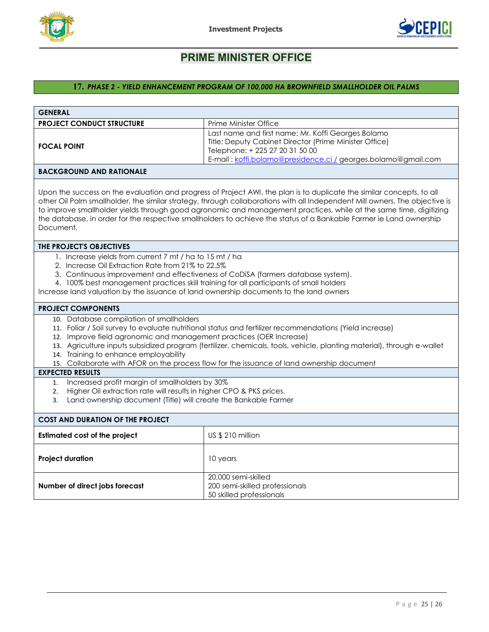



## <span id="page-24-0"></span>**17.** *PHASE 2 - YIELD ENHANCEMENT PROGRAM OF 100,000 HA BROWNFIELD SMALLHOLDER OIL PALMS*

| <b>GENERAL</b>                                                                                                                                                                                                                                                                                                                                                                                                                                                                                                                                                           |                                                                                                                                                                                                                     |  |  |  |  |
|--------------------------------------------------------------------------------------------------------------------------------------------------------------------------------------------------------------------------------------------------------------------------------------------------------------------------------------------------------------------------------------------------------------------------------------------------------------------------------------------------------------------------------------------------------------------------|---------------------------------------------------------------------------------------------------------------------------------------------------------------------------------------------------------------------|--|--|--|--|
| <b>PROJECT CONDUCT STRUCTURE</b>                                                                                                                                                                                                                                                                                                                                                                                                                                                                                                                                         | Prime Minister Office                                                                                                                                                                                               |  |  |  |  |
| Last name and first name: Mr. Koffi Georges Bolamo<br>Title: Deputy Cabinet Director (Prime Minister Office)<br><b>FOCAL POINT</b><br>Telephone: + 225 27 20 31 50 00<br>E-mail: koffi.bolamo@presidence.ci / georges.bolamo@gmail.com                                                                                                                                                                                                                                                                                                                                   |                                                                                                                                                                                                                     |  |  |  |  |
| <b>BACKGROUND AND RATIONALE</b>                                                                                                                                                                                                                                                                                                                                                                                                                                                                                                                                          |                                                                                                                                                                                                                     |  |  |  |  |
| Upon the success on the evaluation and progress of Project AWI, the plan is to duplicate the similar concepts, to all<br>other Oil Palm smallholder, the similar strategy, through collaborations with all Independent Mill owners. The objective is<br>to improve smallholder yields through good agronomic and management practices, while at the same time, digitizing<br>the database, in order for the respective smallholders to achieve the status of a Bankable Farmer ie Land ownership<br>Document.                                                            |                                                                                                                                                                                                                     |  |  |  |  |
| THE PROJECT'S OBJECTIVES                                                                                                                                                                                                                                                                                                                                                                                                                                                                                                                                                 |                                                                                                                                                                                                                     |  |  |  |  |
| 1. Increase yields from current 7 mt / ha to 15 mt / ha<br>2. Increase Oil Extraction Rate from 21% to 22.5%<br>3. Continuous improvement and effectiveness of CoDiSA (farmers database system).<br>4. 100% best management practices skill training for all participants of small holders<br>Increase land valuation by the issuance of land ownership documents to the land owners<br><b>PROJECT COMPONENTS</b><br>10. Database compilation of smallholders<br>11. Foliar / Soil survey to evaluate nutritional status and fertilizer recommendations (Yield increase) |                                                                                                                                                                                                                     |  |  |  |  |
| 12. Improve field agronomic and management practices (OER Increase)<br>14. Training to enhance employability                                                                                                                                                                                                                                                                                                                                                                                                                                                             | 13. Agriculture inputs subsidized program (fertilizer, chemicals, tools, vehicle, planting material), through e-wallet<br>15. Collaborate with AFOR on the process flow for the issuance of land ownership document |  |  |  |  |
| <b>EXPECTED RESULTS</b>                                                                                                                                                                                                                                                                                                                                                                                                                                                                                                                                                  |                                                                                                                                                                                                                     |  |  |  |  |
| Increased profit margin of smallholders by 30%<br>1.<br>Higher Oil extraction rate will results in higher CPO & PKS prices.<br>2.<br>Land ownership document (Title) will create the Bankable Farmer<br>3.                                                                                                                                                                                                                                                                                                                                                               |                                                                                                                                                                                                                     |  |  |  |  |
| <b>COST AND DURATION OF THE PROJECT</b>                                                                                                                                                                                                                                                                                                                                                                                                                                                                                                                                  |                                                                                                                                                                                                                     |  |  |  |  |
| <b>Estimated cost of the project</b>                                                                                                                                                                                                                                                                                                                                                                                                                                                                                                                                     | US \$ 210 million                                                                                                                                                                                                   |  |  |  |  |
| <b>Project duration</b><br>10 years                                                                                                                                                                                                                                                                                                                                                                                                                                                                                                                                      |                                                                                                                                                                                                                     |  |  |  |  |
| 20,000 semi-skilled<br>200 semi-skilled professionals<br>Number of direct jobs forecast<br>50 skilled professionals                                                                                                                                                                                                                                                                                                                                                                                                                                                      |                                                                                                                                                                                                                     |  |  |  |  |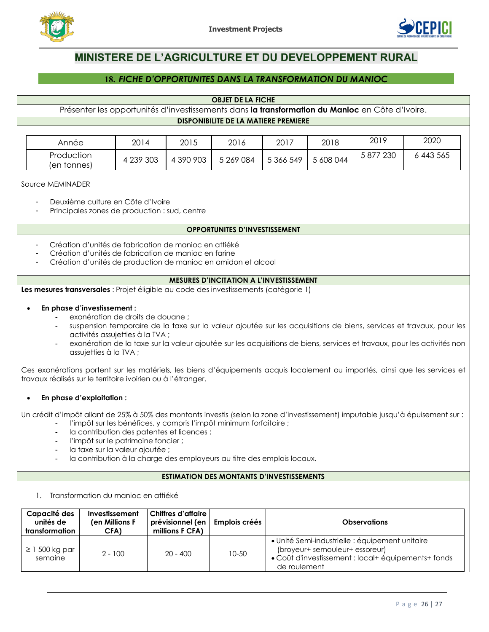



# **MINISTERE DE L'AGRICULTURE ET DU DEVELOPPEMENT RURAL**

## **18.** *FICHE D'OPPORTUNITES DANS LA TRANSFORMATION DU MANIOC*

#### **OBJET DE LA FICHE**

<span id="page-25-0"></span>Présenter les opportunités d'investissements dans **la transformation du Manioc** en Côte d'Ivoire.

|  |  |  | <b>DISPONIBILITE DE LA MATIERE PREMIERE</b> |
|--|--|--|---------------------------------------------|
|--|--|--|---------------------------------------------|

| Année                     | 2014      | 2015      | 2016      | 2017      | 2018      | 2019                  | 2020    |
|---------------------------|-----------|-----------|-----------|-----------|-----------|-----------------------|---------|
| Production<br>(en tonnes) | 4 239 303 | 4 390 903 | 5 269 084 | 5 366 549 | 5 608 044 | $\degree$ 230<br>5877 | 443 565 |

Source MEMINADER

- Deuxième culture en Côte d'Ivoire
- Principales zones de production : sud, centre

#### **OPPORTUNITES D'INVESTISSEMENT**

- Création d'unités de fabrication de manioc en attiéké
- Création d'unités de fabrication de manioc en farine
- Création d'unités de production de manioc en amidon et alcool

#### **MESURES D'INCITATION A L'INVESTISSEMENT**

**Les mesures transversales** : Projet éligible au code des investissements (catégorie 1)

#### • **En phase d'investissement :**

- exonération de droits de douane ;
- suspension temporaire de la taxe sur la valeur ajoutée sur les acquisitions de biens, services et travaux, pour les activités assujetties à la TVA ;
- exonération de la taxe sur la valeur ajoutée sur les acquisitions de biens, services et travaux, pour les activités non assujetties à la TVA ;

Ces exonérations portent sur les matériels, les biens d'équipements acquis localement ou importés, ainsi que les services et travaux réalisés sur le territoire ivoirien ou à l'étranger.

#### • **En phase d'exploitation :**

Un crédit d'impôt allant de 25% à 50% des montants investis (selon la zone d'investissement) imputable jusqu'à épuisement sur :

- l'impôt sur les bénéfices, y compris l'impôt minimum forfaitaire ;
- la contribution des patentes et licences ;
- l'impôt sur le patrimoine foncier ;
- la taxe sur la valeur ajoutée ;
- la contribution à la charge des employeurs au titre des emplois locaux.

#### **ESTIMATION DES MONTANTS D'INVESTISSEMENTS**

1. Transformation du manioc en attiéké

| Capacité des<br>unités de<br>transformation | Investissement<br>(en Millions F<br>CFA) | Chiffres d'affaire l<br>prévisionnel (en  <br>millions F CFA) | Emplois créés | <b>Observations</b>                                                                                                                                      |
|---------------------------------------------|------------------------------------------|---------------------------------------------------------------|---------------|----------------------------------------------------------------------------------------------------------------------------------------------------------|
| $\geq$ 1 500 kg par<br>semaine              | $2 - 100$                                | $20 - 400$                                                    | $10 - 50$     | · Unité Semi-industrielle : équipement unitaire<br>(broyeur+ semouleur+ essoreur)<br>• Coût d'investissement : local+ équipements+ fonds<br>de roulement |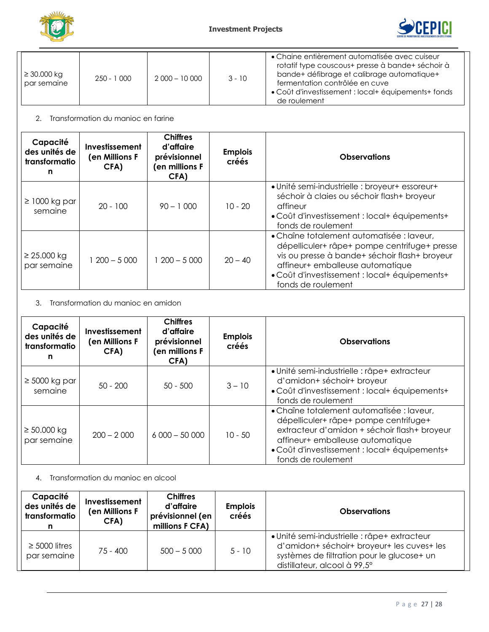



| $\geq 30.000 \text{ kg}$<br>par semaine | $250 - 1000$ | $2000 - 10000$ | $3 - 10$ | • Chaine entièrement automatisée avec cuiseur<br>rotatif type couscous+ presse à bande+ séchoir à<br>bande+ défibrage et calibrage automatique+<br>fermentation contrôlée en cuve<br>• Coût d'investissement : local+ équipements+ fonds<br>de roulement |
|-----------------------------------------|--------------|----------------|----------|----------------------------------------------------------------------------------------------------------------------------------------------------------------------------------------------------------------------------------------------------------|

## 2. Transformation du manioc en farine

| Capacité<br>des unités de<br>transformatio<br>n | Investissement<br>(en Millions F<br>CFA) | <b>Chiffres</b><br>d'affaire<br>prévisionnel<br>(en millions F<br>CFA) | <b>Emplois</b><br>créés | <b>Observations</b>                                                                                                                                                                                                                                   |
|-------------------------------------------------|------------------------------------------|------------------------------------------------------------------------|-------------------------|-------------------------------------------------------------------------------------------------------------------------------------------------------------------------------------------------------------------------------------------------------|
| $\geq$ 1000 kg par<br>semaine                   | $20 - 100$                               | $90 - 1000$                                                            | $10 - 20$               | • Unité semi-industrielle : broyeur+ essoreur+<br>séchoir à claies ou séchoir flash+ broyeur<br>affineur<br>• Coût d'investissement : local+ équipements+<br>fonds de roulement                                                                       |
| $\geq$ 25.000 kg<br>par semaine                 | $200 - 5000$                             | $1200 - 5000$                                                          | $20 - 40$               | • Chaîne totalement automatisée : laveur,<br>dépelliculer+ râpe+ pompe centrifuge+ presse<br>vis ou presse à bande+ séchoir flash+ broyeur<br>affineur+ emballeuse automatique<br>• Coût d'investissement : local+ équipements+<br>fonds de roulement |

## 3. Transformation du manioc en amidon

| Capacité<br>des unités de<br>transformatio<br>n | <b>Investissement</b><br>(en Millions F<br>CFA) | <b>Chiffres</b><br>d'affaire<br>prévisionnel<br>(en millions F<br>CFA) | <b>Emplois</b><br>créés | <b>Observations</b>                                                                                                                                                                                                                           |
|-------------------------------------------------|-------------------------------------------------|------------------------------------------------------------------------|-------------------------|-----------------------------------------------------------------------------------------------------------------------------------------------------------------------------------------------------------------------------------------------|
| $\geq 5000$ kg par<br>semaine                   | $50 - 200$                                      | $50 - 500$                                                             | $3 - 10$                | • Unité semi-industrielle : râpe+ extracteur<br>d'amidon+ séchoir+ broyeur<br>• Coût d'investissement : local+ équipements+<br>fonds de roulement                                                                                             |
| $\geq 50.000$ kg<br>par semaine                 | $200 - 2000$                                    | $6000 - 50000$                                                         | $10 - 50$               | • Chaîne totalement automatisée : laveur,<br>dépelliculer+ râpe+ pompe centrifuge+<br>extracteur d'amidon + séchoir flash+ broyeur<br>affineur+ emballeuse automatique<br>• Coût d'investissement : local+ équipements+<br>fonds de roulement |

## 4. Transformation du manioc en alcool

| Capacité<br>des unités de<br>transformatio | Investissement<br>(en Millions F<br>CFA) | <b>Chiffres</b><br>d'affaire<br>prévisionnel (en<br>millions F CFA) | <b>Emplois</b><br>créés | <b>Observations</b>                                                                                                                                                      |
|--------------------------------------------|------------------------------------------|---------------------------------------------------------------------|-------------------------|--------------------------------------------------------------------------------------------------------------------------------------------------------------------------|
| $\geq$ 5000 litres<br>par semaine          | $75 - 400$                               | $500 - 5000$                                                        | $5 - 10$                | · Unité semi-industrielle : râpe+ extracteur<br>d'amidon+ séchoir+ broyeur+ les cuves+ les<br>systèmes de filtration pour le glucose+ un<br>distillateur, alcool à 99,5° |